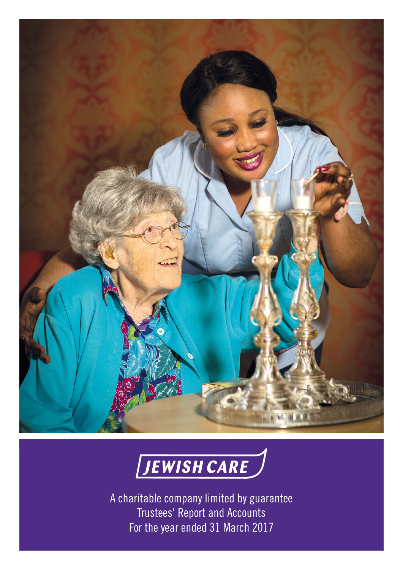



A charitable company limited by guarantee Trustees' Report and Accounts For the year ended 31 March 2017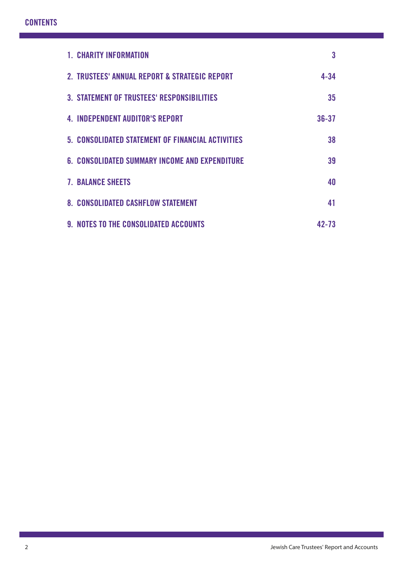| <b>1. CHARITY INFORMATION</b>                         | 3         |
|-------------------------------------------------------|-----------|
| 2. TRUSTEES' ANNUAL REPORT & STRATEGIC REPORT         | $4 - 34$  |
| <b>3. STATEMENT OF TRUSTEES' RESPONSIBILITIES</b>     | 35        |
| <b>4. INDEPENDENT AUDITOR'S REPORT</b>                | $36 - 37$ |
| 5. CONSOLIDATED STATEMENT OF FINANCIAL ACTIVITIES     | 38        |
| <b>6. CONSOLIDATED SUMMARY INCOME AND EXPENDITURE</b> | 39        |
| <b>7. BALANCE SHEETS</b>                              | 40        |
| <b>8. CONSOLIDATED CASHFLOW STATEMENT</b>             | 41        |
| <b>9. NOTES TO THE CONSOLIDATED ACCOUNTS</b>          | 42-73     |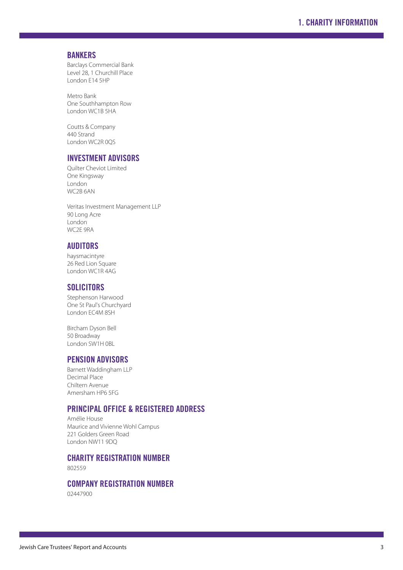# **BANKERS**

Barclays Commercial Bank Level 28, 1 Churchill Place London E14 5HP

Metro Bank One Southhampton Row London WC1B 5HA

Coutts & Company 440 Strand London WC2R 0QS

# INVESTMENT ADVISORS

Quilter Cheviot Limited One Kingsway London WC2B 6AN

Veritas Investment Management LLP 90 Long Acre London WC2E 9RA

# AUDITORS

haysmacintyre 26 Red Lion Square London WC1R 4AG

# **SOLICITORS**

Stephenson Harwood One St Paul's Churchyard London EC4M 8SH

Bircham Dyson Bell 50 Broadway London SW1H 0BL

# PENSION ADVISORS

Barnett Waddingham LLP Decimal Place Chiltern Avenue Amersham HP6 5FG

# PRINCIPAL OFFICE & REGISTERED ADDRESS

Amélie House Maurice and Vivienne Wohl Campus 221 Golders Green Road London NW11 9DQ

# CHARITY REGISTRATION NUMBER

802559

# COMPANY REGISTRATION NUMBER

02447900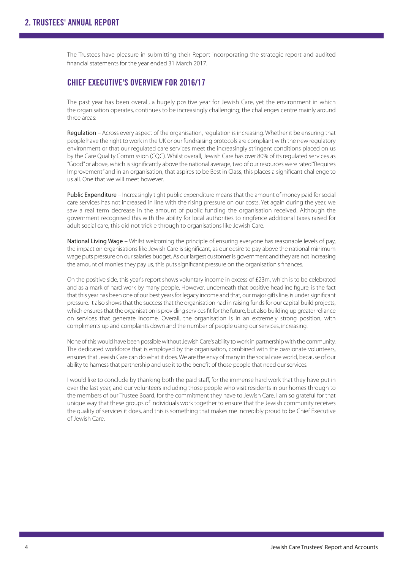The Trustees have pleasure in submitting their Report incorporating the strategic report and audited financial statements for the year ended 31 March 2017.

# CHIEF EXECUTIVE'S OVERVIEW FOR 2016/17

The past year has been overall, a hugely positive year for Jewish Care, yet the environment in which the organisation operates, continues to be increasingly challenging; the challenges centre mainly around three areas:

Regulation – Across every aspect of the organisation, regulation is increasing. Whether it be ensuring that people have the right to work in the UK or our fundraising protocols are compliant with the new regulatory environment or that our regulated care services meet the increasingly stringent conditions placed on us by the Care Quality Commission (CQC). Whilst overall, Jewish Care has over 80% of its regulated services as "Good" or above, which is significantly above the national average, two of our resources were rated "Requires Improvement" and in an organisation, that aspires to be Best in Class, this places a significant challenge to us all. One that we will meet however.

Public Expenditure – Increasingly tight public expenditure means that the amount of money paid for social care services has not increased in line with the rising pressure on our costs. Yet again during the year, we saw a real term decrease in the amount of public funding the organisation received. Although the government recognised this with the ability for local authorities to ringfence additional taxes raised for adult social care, this did not trickle through to organisations like Jewish Care.

National Living Wage – Whilst welcoming the principle of ensuring everyone has reasonable levels of pay, the impact on organisations like Jewish Care is significant, as our desire to pay above the national minimum wage puts pressure on our salaries budget. As our largest customer is government and they are not increasing the amount of monies they pay us, this puts significant pressure on the organisation's finances.

On the positive side, this year's report shows voluntary income in excess of £23m, which is to be celebrated and as a mark of hard work by many people. However, underneath that positive headline figure, is the fact that this year has been one of our best years for legacy income and that, our major gifts line, is under significant pressure. It also shows that the success that the organisation had in raising funds for our capital build projects, which ensures that the organisation is providing services fit for the future, but also building up greater reliance on services that generate income. Overall, the organisation is in an extremely strong position, with compliments up and complaints down and the number of people using our services, increasing.

None of this would have been possible without Jewish Care's ability to work in partnership with the community. The dedicated workforce that is employed by the organisation, combined with the passionate volunteers, ensures that Jewish Care can do what it does. We are the envy of many in the social care world, because of our ability to harness that partnership and use it to the benefit of those people that need our services.

I would like to conclude by thanking both the paid staff, for the immense hard work that they have put in over the last year, and our volunteers including those people who visit residents in our homes through to the members of our Trustee Board, for the commitment they have to Jewish Care. I am so grateful for that unique way that these groups of individuals work together to ensure that the Jewish community receives the quality of services it does, and this is something that makes me incredibly proud to be Chief Executive of Jewish Care.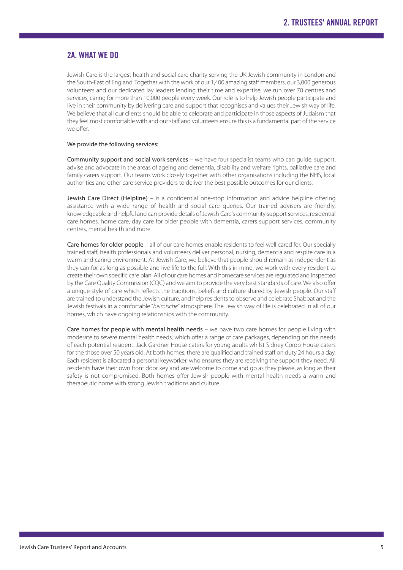# 2A. WHAT WE DO

Jewish Care is the largest health and social care charity serving the UK Jewish community in London and the South-East of England. Together with the work of our 1,400 amazing staff members, our 3,000 generous volunteers and our dedicated lay leaders lending their time and expertise, we run over 70 centres and services, caring for more than 10,000 people every week. Our role is to help Jewish people participate and live in their community by delivering care and support that recognises and values their Jewish way of life. We believe that all our clients should be able to celebrate and participate in those aspects of Judaism that they feel most comfortable with and our staff and volunteers ensure this is a fundamental part of the service we offer.

### We provide the following services:

Community support and social work services – we have four specialist teams who can guide, support, advise and advocate in the areas of ageing and dementia, disability and welfare rights, palliative care and family carers support. Our teams work closely together with other organisations including the NHS, local authorities and other care service providers to deliver the best possible outcomes for our clients.

Jewish Care Direct (Helpline) – is a confidential one-stop information and advice helpline offering assistance with a wide range of health and social care queries. Our trained advisers are friendly, knowledgeable and helpful and can provide details of Jewish Care's community support services, residential care homes, home care, day care for older people with dementia, carers support services, community centres, mental health and more.

Care homes for older people – all of our care homes enable residents to feel well cared for. Our specially trained staff, health professionals and volunteers deliver personal, nursing, dementia and respite care in a warm and caring environment. At Jewish Care, we believe that people should remain as independent as they can for as long as possible and live life to the full. With this in mind, we work with every resident to create their own specific care plan. All of our care homes and homecare services are regulated and inspected by the Care Quality Commission (CQC) and we aim to provide the very best standards of care. We also offer a unique style of care which reflects the traditions, beliefs and culture shared by Jewish people. Our staff are trained to understand the Jewish culture, and help residents to observe and celebrate Shabbat and the Jewish festivals in a comfortable "*heimische*" atmosphere. The Jewish way of life is celebrated in all of our homes, which have ongoing relationships with the community.

Care homes for people with mental health needs - we have two care homes for people living with moderate to severe mental health needs, which offer a range of care packages, depending on the needs of each potential resident. Jack Gardner House caters for young adults whilst Sidney Corob House caters for the those over 50 years old. At both homes, there are qualified and trained staff on duty 24 hours a day. Each resident is allocated a personal keyworker, who ensures they are receiving the support they need. All residents have their own front door key and are welcome to come and go as they please, as long as their safety is not compromised. Both homes offer Jewish people with mental health needs a warm and therapeutic home with strong Jewish traditions and culture.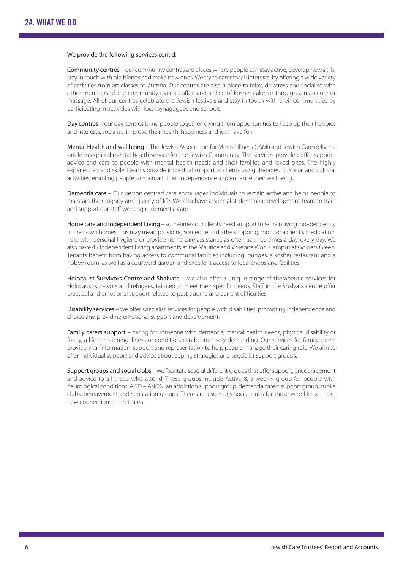#### We provide the following services cont'd:

Community centres - our community centres are places where people can stay active, develop new skills, stay in touch with old friends and make new ones. We try to cater for all interests, by offering a wide variety of activities from art classes to Zumba. Our centres are also a place to relax, de-stress and socialise with other members of the community over a coffee and a slice of kosher cake, or through a manicure or massage. All of our centres celebrate the Jewish festivals and stay in touch with their communities by participating in activities with local synagogues and schools.

Day centres – our day centres bring people together, giving them opportunities to keep up their hobbies and interests, socialise, improve their health, happiness and just have fun.

Mental Health and wellbeing – The Jewish Association for Mental Illness (JAMI) and Jewish Care deliver a single integrated mental health service for the Jewish Community. The services provided offer support, advice and care to people with mental health needs and their families and loved ones. The highly experienced and skilled teams provide individual support to clients using therapeutic, social and cultural activities, enabling people to maintain their independence and enhance their wellbeing.

Dementia care – Our person centred care encourages individuals to remain active and helps people to maintain their dignity and quality of life. We also have a specialist dementia development team to train and support our staff working in dementia care.

Home care and Independent Living – sometimes our clients need support to remain living independently in their own homes. This may mean providing someone to do the shopping, monitor a client's medication, help with personal hygiene or provide home care assistance as often as three times a day, every day. We also have 45 Independent Living apartments at the Maurice and Vivienne Wohl Campus at Golders Green. Tenants benefit from having access to communal facilities including lounges, a kosher restaurant and a hobby room, as well as a courtyard garden and excellent access to local shops and facilities.

Holocaust Survivors Centre and Shalvata – we also offer a unique range of therapeutic services for Holocaust survivors and refugees, tailored to meet their specific needs. Staff in the Shalvata centre offer practical and emotional support related to past trauma and current difficulties.

Disability services – we offer specialist services for people with disabilities, promoting independence and choice and providing emotional support and development.

Family carers support – caring for someone with dementia, mental health needs, physical disability or frailty, a life threatening illness or condition, can be intensely demanding. Our services for family carers provide vital information, support and representation to help people manage their caring role. We aim to offer individual support and advice about coping strategies and specialist support groups.

Support groups and social clubs – we facilitate several different groups that offer support, encouragement and advice to all those who attend. These groups include Active 8, a weekly group for people with neurological conditions, ADD – ANON, an addiction support group, dementia carers support group, stroke clubs, bereavement and separation groups. There are also many social clubs for those who like to make new connections in their area.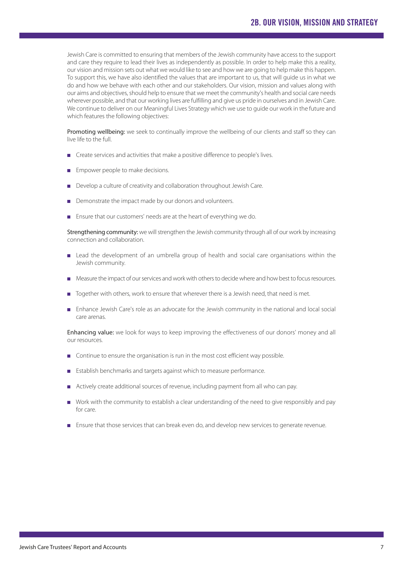Jewish Care is committed to ensuring that members of the Jewish community have access to the support and care they require to lead their lives as independently as possible. In order to help make this a reality, our vision and mission sets out what we would like to see and how we are going to help make this happen. To support this, we have also identified the values that are important to us, that will guide us in what we do and how we behave with each other and our stakeholders. Our vision, mission and values along with our aims and objectives, should help to ensure that we meet the community's health and social care needs wherever possible, and that our working lives are fulfilling and give us pride in ourselves and in Jewish Care. We continue to deliver on our Meaningful Lives Strategy which we use to guide our work in the future and which features the following objectives:

Promoting wellbeing: we seek to continually improve the wellbeing of our clients and staff so they can live life to the full.

- Create services and activities that make a positive difference to people's lives.
- Empower people to make decisions.
- Develop a culture of creativity and collaboration throughout Jewish Care.
- Demonstrate the impact made by our donors and volunteers.
- Ensure that our customers' needs are at the heart of everything we do.

Strengthening community: we will strengthen the Jewish community through all of our work by increasing connection and collaboration.

- Lead the development of an umbrella group of health and social care organisations within the Jewish community.
- Measure the impact of our services and work with others to decide where and how best to focus resources.
- Together with others, work to ensure that wherever there is a Jewish need, that need is met.
- Enhance Jewish Care's role as an advocate for the Jewish community in the national and local social care arenas.

Enhancing value: we look for ways to keep improving the effectiveness of our donors' money and all our resources.

- Continue to ensure the organisation is run in the most cost efficient way possible.
- Establish benchmarks and targets against which to measure performance.
- Actively create additional sources of revenue, including payment from all who can pay.
- Work with the community to establish a clear understanding of the need to give responsibly and pay for care.
- Ensure that those services that can break even do, and develop new services to generate revenue.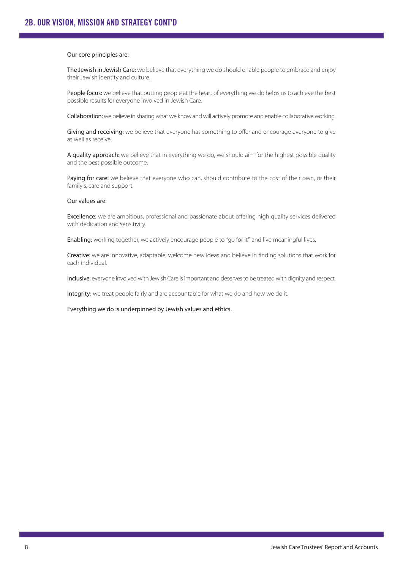#### Our core principles are:

The Jewish in Jewish Care: we believe that everything we do should enable people to embrace and enjoy their Jewish identity and culture.

People focus: we believe that putting people at the heart of everything we do helps us to achieve the best possible results for everyone involved in Jewish Care.

Collaboration: we believe in sharing what we know and will actively promote and enable collaborative working.

Giving and receiving: we believe that everyone has something to offer and encourage everyone to give as well as receive.

A quality approach: we believe that in everything we do, we should aim for the highest possible quality and the best possible outcome.

Paying for care: we believe that everyone who can, should contribute to the cost of their own, or their family's, care and support.

#### Our values are:

Excellence: we are ambitious, professional and passionate about offering high quality services delivered with dedication and sensitivity.

Enabling: working together, we actively encourage people to "go for it" and live meaningful lives.

Creative: we are innovative, adaptable, welcome new ideas and believe in finding solutions that work for each individual.

Inclusive: everyone involved with Jewish Care is important and deserves to be treated with dignity and respect.

Integrity: we treat people fairly and are accountable for what we do and how we do it.

Everything we do is underpinned by Jewish values and ethics.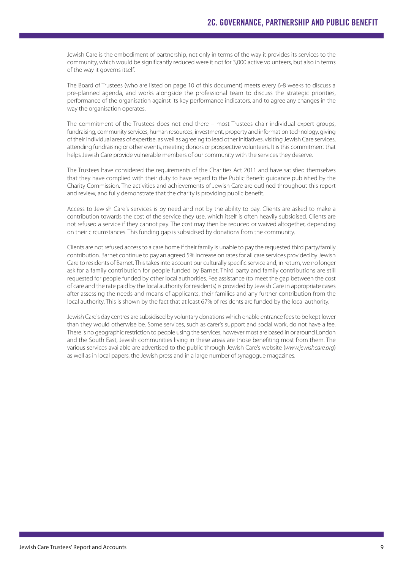Jewish Care is the embodiment of partnership, not only in terms of the way it provides its services to the community, which would be significantly reduced were it not for 3,000 active volunteers, but also in terms of the way it governs itself.

The Board of Trustees (who are listed on page 10 of this document) meets every 6-8 weeks to discuss a pre-planned agenda, and works alongside the professional team to discuss the strategic priorities, performance of the organisation against its key performance indicators, and to agree any changes in the way the organisation operates.

The commitment of the Trustees does not end there – most Trustees chair individual expert groups, fundraising, community services, human resources, investment, property and information technology, giving of their individual areas of expertise, as well as agreeing to lead other initiatives, visiting Jewish Care services, attending fundraising or other events, meeting donors or prospective volunteers. It is this commitment that helps Jewish Care provide vulnerable members of our community with the services they deserve.

The Trustees have considered the requirements of the Charities Act 2011 and have satisfied themselves that they have complied with their duty to have regard to the Public Benefit guidance published by the Charity Commission. The activities and achievements of Jewish Care are outlined throughout this report and review, and fully demonstrate that the charity is providing public benefit.

Access to Jewish Care's services is by need and not by the ability to pay. Clients are asked to make a contribution towards the cost of the service they use, which itself is often heavily subsidised. Clients are not refused a service if they cannot pay. The cost may then be reduced or waived altogether, depending on their circumstances. This funding gap is subsidised by donations from the community.

Clients are not refused access to a care home if their family is unable to pay the requested third party/family contribution. Barnet continue to pay an agreed 5% increase on rates for all care services provided by Jewish Care to residents of Barnet. This takes into account our culturally specific service and, in return, we no longer ask for a family contribution for people funded by Barnet. Third party and family contributions are still requested for people funded by other local authorities. Fee assistance (to meet the gap between the cost of care and the rate paid by the local authority for residents) is provided by Jewish Care in appropriate cases after assessing the needs and means of applicants, their families and any further contribution from the local authority. This is shown by the fact that at least 67% of residents are funded by the local authority.

Jewish Care's day centres are subsidised by voluntary donations which enable entrance fees to be kept lower than they would otherwise be. Some services, such as carer's support and social work, do not have a fee. There is no geographic restriction to people using the services, however most are based in or around London and the South East, Jewish communities living in these areas are those benefiting most from them. The various services available are advertised to the public through Jewish Care's website (*www.jewishcare.org*) as well as in local papers, the Jewish press and in a large number of synagogue magazines.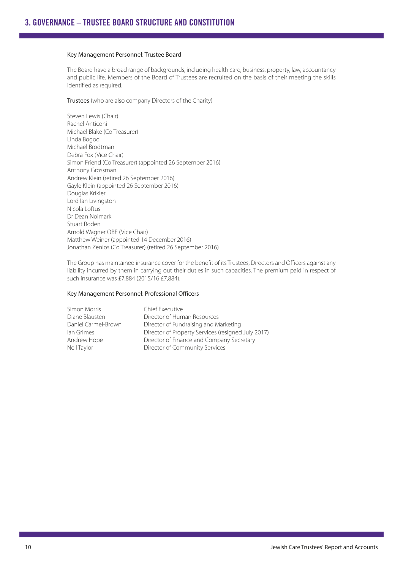### Key Management Personnel: Trustee Board

The Board have a broad range of backgrounds, including health care, business, property, law, accountancy and public life. Members of the Board of Trustees are recruited on the basis of their meeting the skills identified as required.

Trustees (who are also company Directors of the Charity)

Steven Lewis (Chair) Rachel Anticoni Michael Blake (Co Treasurer) Linda Bogod Michael Brodtman Debra Fox (Vice Chair) Simon Friend (Co Treasurer) (appointed 26 September 2016) Anthony Grossman Andrew Klein (retired 26 September 2016) Gayle Klein (appointed 26 September 2016) Douglas Krikler Lord Ian Livingston Nicola Loftus Dr Dean Noimark Stuart Roden Arnold Wagner OBE (Vice Chair) Matthew Weiner (appointed 14 December 2016) Jonathan Zenios (Co Treasurer) (retired 26 September 2016)

The Group has maintained insurance cover for the benefit of its Trustees, Directors and Officers against any liability incurred by them in carrying out their duties in such capacities. The premium paid in respect of such insurance was £7,884 (2015/16 £7,884).

# Key Management Personnel: Professional Officers

| Simon Morris        | Chief Executive                                    |
|---------------------|----------------------------------------------------|
| Diane Blausten      | Director of Human Resources                        |
| Daniel Carmel-Brown | Director of Fundraising and Marketing              |
| lan Grimes          | Director of Property Services (resigned July 2017) |
| Andrew Hope         | Director of Finance and Company Secretary          |
| Neil Taylor         | Director of Community Services                     |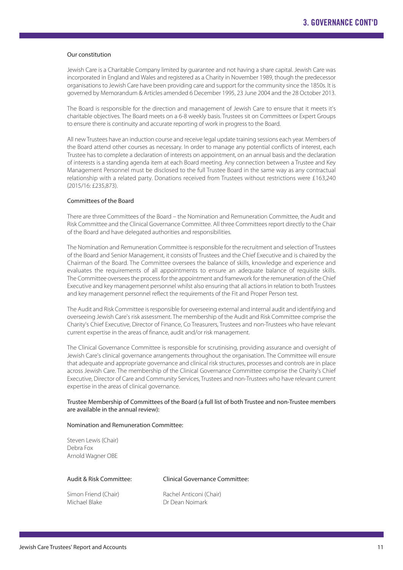## Our constitution

Jewish Care is a Charitable Company limited by guarantee and not having a share capital. Jewish Care was incorporated in England and Wales and registered as a Charity in November 1989, though the predecessor organisations to Jewish Care have been providing care and support for the community since the 1850s. It is governed by Memorandum & Articles amended 6 December 1995, 23 June 2004 and the 28 October 2013.

The Board is responsible for the direction and management of Jewish Care to ensure that it meets it's charitable objectives. The Board meets on a 6-8 weekly basis. Trustees sit on Committees or Expert Groups to ensure there is continuity and accurate reporting of work in progress to the Board.

All new Trustees have an induction course and receive legal update training sessions each year. Members of the Board attend other courses as necessary. In order to manage any potential conflicts of interest, each Trustee has to complete a declaration of interests on appointment, on an annual basis and the declaration of interests is a standing agenda item at each Board meeting. Any connection between a Trustee and Key Management Personnel must be disclosed to the full Trustee Board in the same way as any contractual relationship with a related party. Donations received from Trustees without restrictions were £163,240 (2015/16: £235,873).

### Committees of the Board

There are three Committees of the Board – the Nomination and Remuneration Committee, the Audit and Risk Committee and the Clinical Governance Committee. All three Committees report directly to the Chair of the Board and have delegated authorities and responsibilities.

The Nomination and Remuneration Committee is responsible for the recruitment and selection of Trustees of the Board and Senior Management, it consists of Trustees and the Chief Executive and is chaired by the Chairman of the Board. The Committee oversees the balance of skills, knowledge and experience and evaluates the requirements of all appointments to ensure an adequate balance of requisite skills. The Committee oversees the process for the appointment and framework for the remuneration of the Chief Executive and key management personnel whilst also ensuring that all actions in relation to both Trustees and key management personnel reflect the requirements of the Fit and Proper Person test.

The Audit and Risk Committee is responsible for overseeing external and internal audit and identifying and overseeing Jewish Care's risk assessment. The membership of the Audit and Risk Committee comprise the Charity's Chief Executive, Director of Finance, Co Treasurers, Trustees and non-Trustees who have relevant current expertise in the areas of finance, audit and/or risk management.

The Clinical Governance Committee is responsible for scrutinising, providing assurance and oversight of Jewish Care's clinical governance arrangements throughout the organisation. The Committee will ensure that adequate and appropriate governance and clinical risk structures, processes and controls are in place across Jewish Care. The membership of the Clinical Governance Committee comprise the Charity's Chief Executive, Director of Care and Community Services, Trustees and non-Trustees who have relevant current expertise in the areas of clinical governance.

## Trustee Membership of Committees of the Board (a full list of both Trustee and non-Trustee members are available in the annual review):

# Nomination and Remuneration Committee:

Steven Lewis (Chair) Debra Fox Arnold Wagner OBE

## Audit & Risk Committee: Clinical Governance Committee:

Simon Friend (Chair) Rachel Anticoni (Chair) Michael Blake Dr Dean Noimark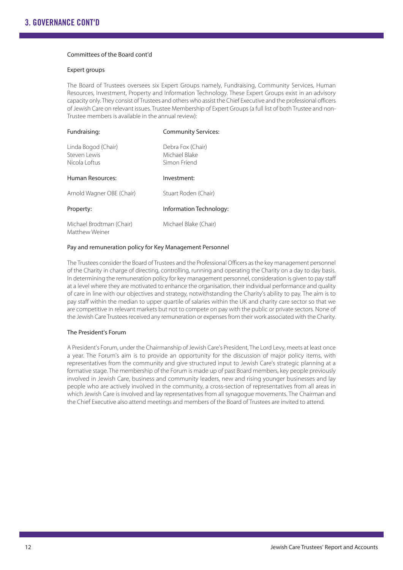## Committees of the Board cont'd

### Expert groups

The Board of Trustees oversees six Expert Groups namely, Fundraising, Community Services, Human Resources, Investment, Property and Information Technology. These Expert Groups exist in an advisory capacity only. They consist of Trustees and others who assist the Chief Executive and the professional officers of Jewish Care on relevant issues. Trustee Membership of Expert Groups (a full list of both Trustee and non-Trustee members is available in the annual review):

| Fundraising:                                         | <b>Community Services:</b>                         |
|------------------------------------------------------|----------------------------------------------------|
| Linda Bogod (Chair)<br>Steven Lewis<br>Nicola Loftus | Debra Fox (Chair)<br>Michael Blake<br>Simon Friend |
| Human Resources:                                     | Investment:                                        |
| Arnold Wagner OBE (Chair)                            | Stuart Roden (Chair)                               |
| Property:                                            | Information Technology:                            |
| Michael Brodtman (Chair)<br>Matthew Weiner           | Michael Blake (Chair)                              |

## Pay and remuneration policy for Key Management Personnel

The Trustees consider the Board of Trustees and the Professional Officers as the key management personnel of the Charity in charge of directing, controlling, running and operating the Charity on a day to day basis. In determining the remuneration policy for key management personnel, consideration is given to pay staff at a level where they are motivated to enhance the organisation, their individual performance and quality of care in line with our objectives and strategy, notwithstanding the Charity's ability to pay. The aim is to pay staff within the median to upper quartile of salaries within the UK and charity care sector so that we are competitive in relevant markets but not to compete on pay with the public or private sectors. None of the Jewish Care Trustees received any remuneration or expenses from their work associated with the Charity.

## The President's Forum

A President's Forum, under the Chairmanship of Jewish Care's President, The Lord Levy, meets at least once a year. The Forum's aim is to provide an opportunity for the discussion of major policy items, with representatives from the community and give structured input to Jewish Care's strategic planning at a formative stage. The membership of the Forum is made up of past Board members, key people previously involved in Jewish Care, business and community leaders, new and rising younger businesses and lay people who are actively involved in the community, a cross-section of representatives from all areas in which Jewish Care is involved and lay representatives from all synagogue movements. The Chairman and the Chief Executive also attend meetings and members of the Board of Trustees are invited to attend.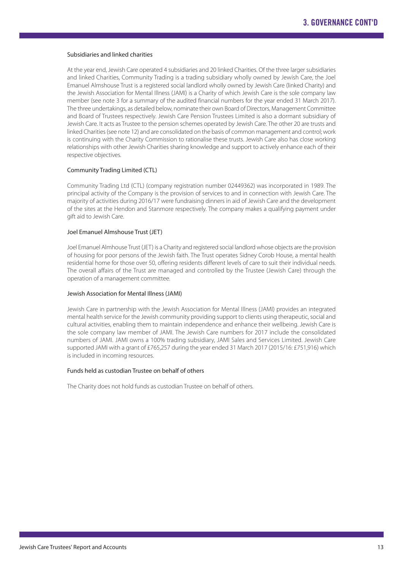#### Subsidiaries and linked charities

At the year end, Jewish Care operated 4 subsidiaries and 20 linked Charities. Of the three larger subsidiaries and linked Charities, Community Trading is a trading subsidiary wholly owned by Jewish Care, the Joel Emanuel Almshouse Trust is a registered social landlord wholly owned by Jewish Care (linked Charity) and the Jewish Association for Mental Illness (JAMI) is a Charity of which Jewish Care is the sole company law member (see note 3 for a summary of the audited financial numbers for the year ended 31 March 2017). The three undertakings, as detailed below, nominate their own Board of Directors, Management Committee and Board of Trustees respectively. Jewish Care Pension Trustees Limited is also a dormant subsidiary of Jewish Care. It acts as Trustee to the pension schemes operated by Jewish Care. The other 20 are trusts and linked Charities (see note 12) and are consolidated on the basis of common management and control; work is continuing with the Charity Commission to rationalise these trusts. Jewish Care also has close working relationships with other Jewish Charities sharing knowledge and support to actively enhance each of their respective objectives.

#### Community Trading Limited (CTL)

Community Trading Ltd (CTL) (company registration number 02449362) was incorporated in 1989. The principal activity of the Company is the provision of services to and in connection with Jewish Care. The majority of activities during 2016/17 were fundraising dinners in aid of Jewish Care and the development of the sites at the Hendon and Stanmore respectively. The company makes a qualifying payment under gift aid to Jewish Care.

#### Joel Emanuel Almshouse Trust (JET)

Joel Emanuel Almhouse Trust (JET) is a Charity and registered social landlord whose objects are the provision of housing for poor persons of the Jewish faith. The Trust operates Sidney Corob House, a mental health residential home for those over 50, offering residents different levels of care to suit their individual needs. The overall affairs of the Trust are managed and controlled by the Trustee (Jewish Care) through the operation of a management committee.

#### Jewish Association for Mental Illness (JAMI)

Jewish Care in partnership with the Jewish Association for Mental Illness (JAMI) provides an integrated mental health service for the Jewish community providing support to clients using therapeutic, social and cultural activities, enabling them to maintain independence and enhance their wellbeing. Jewish Care is the sole company law member of JAMI. The Jewish Care numbers for 2017 include the consolidated numbers of JAMI. JAMI owns a 100% trading subsidiary, JAMI Sales and Services Limited. Jewish Care supported JAMI with a grant of £765,257 during the year ended 31 March 2017 (2015/16: £751,916) which is included in incoming resources.

## Funds held as custodian Trustee on behalf of others

The Charity does not hold funds as custodian Trustee on behalf of others.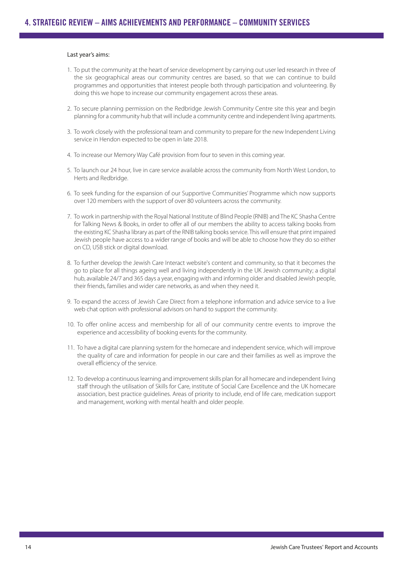#### Last year's aims:

- 1. To put the community at the heart of service development by carrying out user led research in three of the six geographical areas our community centres are based, so that we can continue to build programmes and opportunities that interest people both through participation and volunteering. By doing this we hope to increase our community engagement across these areas.
- 2. To secure planning permission on the Redbridge Jewish Community Centre site this year and begin planning for a community hub that will include a community centre and independent living apartments.
- 3. To work closely with the professional team and community to prepare for the new Independent Living service in Hendon expected to be open in late 2018.
- 4. To increase our Memory Way Café provision from four to seven in this coming year.
- 5. To launch our 24 hour, live in care service available across the community from North West London, to Herts and Redbridge.
- 6. To seek funding for the expansion of our Supportive Communities' Programme which now supports over 120 members with the support of over 80 volunteers across the community.
- 7. To work in partnership with the Royal National Institute of Blind People (RNIB) and The KC Shasha Centre for Talking News & Books, in order to offer all of our members the ability to access talking books from the existing KC Shasha library as part of the RNIB talking books service. This will ensure that print impaired Jewish people have access to a wider range of books and will be able to choose how they do so either on CD, USB stick or digital download.
- 8. To further develop the Jewish Care Interact website's content and community, so that it becomes the go to place for all things ageing well and living independently in the UK Jewish community; a digital hub, available 24/7 and 365 days a year, engaging with and informing older and disabled Jewish people, their friends, families and wider care networks, as and when they need it.
- 9. To expand the access of Jewish Care Direct from a telephone information and advice service to a live web chat option with professional advisors on hand to support the community.
- 10. To offer online access and membership for all of our community centre events to improve the experience and accessibility of booking events for the community.
- 11. To have a digital care planning system for the homecare and independent service, which will improve the quality of care and information for people in our care and their families as well as improve the overall efficiency of the service.
- 12. To develop a continuous learning and improvement skills plan for all homecare and independent living staff through the utilisation of Skills for Care, institute of Social Care Excellence and the UK homecare association, best practice guidelines. Areas of priority to include, end of life care, medication support and management, working with mental health and older people.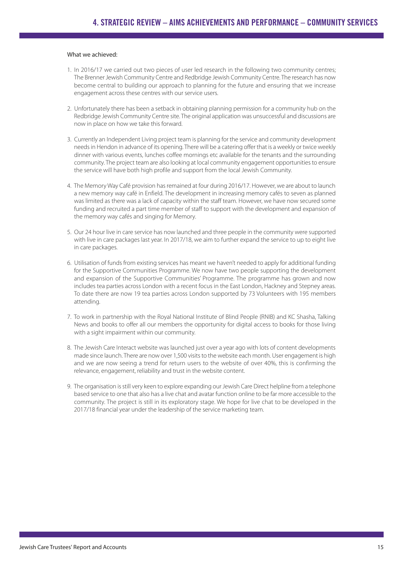#### What we achieved:

- 1. In 2016/17 we carried out two pieces of user led research in the following two community centres; The Brenner Jewish Community Centre and Redbridge Jewish Community Centre. The research has now become central to building our approach to planning for the future and ensuring that we increase engagement across these centres with our service users.
- 2. Unfortunately there has been a setback in obtaining planning permission for a community hub on the Redbridge Jewish Community Centre site. The original application was unsuccessful and discussions are now in place on how we take this forward.
- 3. Currently an Independent Living project team is planning for the service and community development needs in Hendon in advance of its opening. There will be a catering offer that is a weekly or twice weekly dinner with various events, lunches coffee mornings etc available for the tenants and the surrounding community. The project team are also looking at local community engagement opportunities to ensure the service will have both high profile and support from the local Jewish Community.
- 4. The Memory Way Café provision has remained at four during 2016/17. However, we are about to launch a new memory way café in Enfield. The development in increasing memory cafés to seven as planned was limited as there was a lack of capacity within the staff team. However, we have now secured some funding and recruited a part time member of staff to support with the development and expansion of the memory way cafés and singing for Memory.
- 5. Our 24 hour live in care service has now launched and three people in the community were supported with live in care packages last year. In 2017/18, we aim to further expand the service to up to eight live in care packages.
- 6. Utilisation of funds from existing services has meant we haven't needed to apply for additional funding for the Supportive Communities Programme. We now have two people supporting the development and expansion of the Supportive Communities' Programme. The programme has grown and now includes tea parties across London with a recent focus in the East London, Hackney and Stepney areas. To date there are now 19 tea parties across London supported by 73 Volunteers with 195 members attending.
- 7. To work in partnership with the Royal National Institute of Blind People (RNIB) and KC Shasha, Talking News and books to offer all our members the opportunity for digital access to books for those living with a sight impairment within our community.
- 8. The Jewish Care Interact website was launched just over a year ago with lots of content developments made since launch. There are now over 1,500 visits to the website each month. User engagement is high and we are now seeing a trend for return users to the website of over 40%, this is confirming the relevance, engagement, reliability and trust in the website content.
- 9. The organisation is still very keen to explore expanding our Jewish Care Direct helpline from a telephone based service to one that also has a live chat and avatar function online to be far more accessible to the community. The project is still in its exploratory stage. We hope for live chat to be developed in the 2017/18 financial year under the leadership of the service marketing team.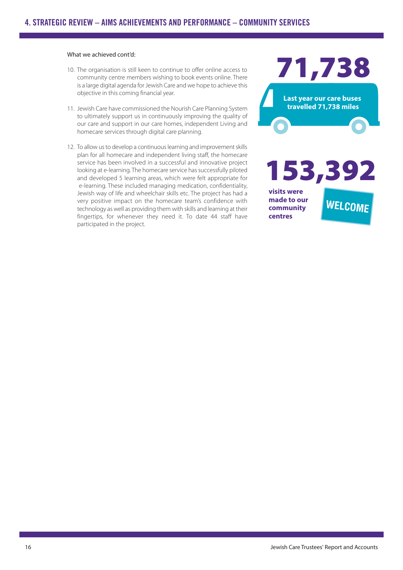#### What we achieved cont'd:

- 10. The organisation is still keen to continue to offer online access to community centre members wishing to book events online. There is a large digital agenda for Jewish Care and we hope to achieve this objective in this coming financial year.
- 11. Jewish Care have commissioned the Nourish Care Planning System to ultimately support us in continuously improving the quality of our care and support in our care homes, independent Living and homecare services through digital care planning.
- 12. To allow us to develop a continuous learning and improvement skills plan for all homecare and independent living staff, the homecare service has been involved in a successful and innovative project looking at e-learning. The homecare service has successfully piloted and developed 5 learning areas, which were felt appropriate for e-learning. These included managing medication, confidentiality, Jewish way of life and wheelchair skills etc. The project has had a very positive impact on the homecare team's confidence with  technology as well as providing them with skills and learning at their  fingertips, for whenever they need it. To date 44 staff have participated in the project.



WELCOME

**made to our community centres**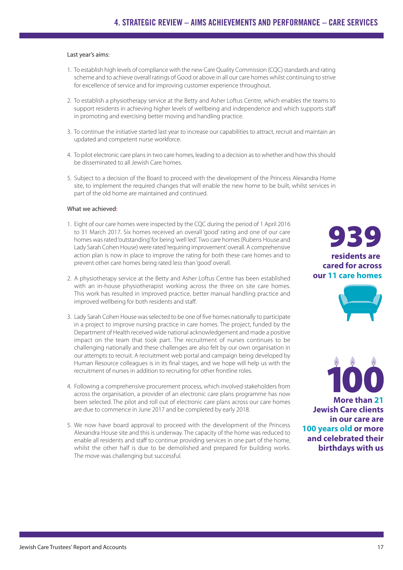# Last year's aims:

- 1. To establish high levels of compliance with the new Care Quality Commission (CQC) standards and rating scheme and to achieve overall ratings of Good or above in all our care homes whilst continuing to strive for excellence of service and for improving customer experience throughout.
- 2. To establish a physiotherapy service at the Betty and Asher Loftus Centre, which enables the teams to support residents in achieving higher levels of wellbeing and independence and which supports staff in promoting and exercising better moving and handling practice.
- 3. To continue the initiative started last year to increase our capabilities to attract, recruit and maintain an updated and competent nurse workforce.
- 4. To pilot electronic care plans in two care homes, leading to a decision as to whether and how this should be disseminated to all Jewish Care homes.
- 5. Subject to a decision of the Board to proceed with the development of the Princess Alexandra Home site, to implement the required changes that will enable the new home to be built, whilst services in part of the old home are maintained and continued.

## What we achieved:

- 1. Eight of our care homes were inspected by the CQC during the period of 1 April 2016 to 31 March 2017. Six homes received an overall 'good' rating and one of our care homes was rated 'outstanding' for being 'well led'. Two care homes (Rubens House and Lady Sarah Cohen House) were rated 'requiring improvement' overall. A comprehensive action plan is now in place to improve the rating for both these care homes and to prevent other care homes being rated less than 'good' overall.
- 2. A physiotherapy service at the Betty and Asher Loftus Centre has been established with an in-house physiotherapist working across the three on site care homes. This work has resulted in improved practice, better manual handling practice and improved wellbeing for both residents and staff.
- 3. Lady Sarah Cohen House was selected to be one of five homes nationally to participate in a project to improve nursing practice in care homes. The project, funded by the Department of Health received wide national acknowledgement and made a positive impact on the team that took part. The recruitment of nurses continues to be challenging nationally and these challenges are also felt by our own organisation in our attempts to recruit. A recruitment web portal and campaign being developed by Human Resource colleagues is in its final stages, and we hope will help us with the recruitment of nurses in addition to recruiting for other frontline roles.
- 4. Following a comprehensive procurement process, which involved stakeholders from  across the organisation, a provider of an electronic care plans programme has now  been selected. The pilot and roll out of electronic care plans across our care homes are due to commence in June 2017 and be completed by early 2018.
- 5. We now have board approval to proceed with the development of the Princess Alexandra House site and this is underway. The capacity of the home was reduced to enable all residents and staff to continue providing services in one part of the home, whilst the other half is due to be demolished and prepared for building works. The move was challenging but successful.

**939 residents are cared for across our 11 care homes**





**More than 21 Jewish Care clients in our care are 100 years old or more and celebrated their birthdays with us**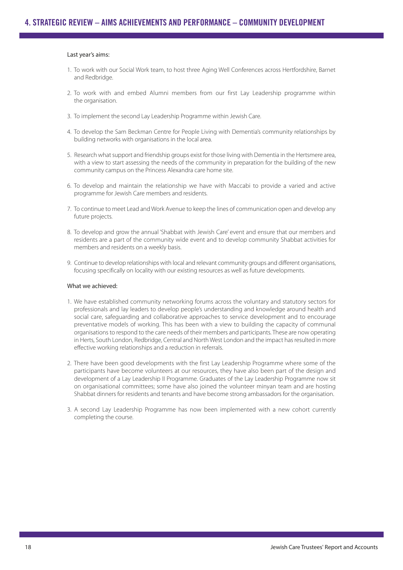### Last year's aims:

- 1. To work with our Social Work team, to host three Aging Well Conferences across Hertfordshire, Barnet and Redbridge.
- 2. To work with and embed Alumni members from our first Lay Leadership programme within the organisation.
- 3. To implement the second Lay Leadership Programme within Jewish Care.
- 4. To develop the Sam Beckman Centre for People Living with Dementia's community relationships by building networks with organisations in the local area.
- 5. Research what support and friendship groups exist for those living with Dementia in the Hertsmere area, with a view to start assessing the needs of the community in preparation for the building of the new community campus on the Princess Alexandra care home site.
- 6. To develop and maintain the relationship we have with Maccabi to provide a varied and active programme for Jewish Care members and residents.
- 7. To continue to meet Lead and Work Avenue to keep the lines of communication open and develop any future projects.
- 8. To develop and grow the annual 'Shabbat with Jewish Care' event and ensure that our members and residents are a part of the community wide event and to develop community Shabbat activities for members and residents on a weekly basis.
- 9. Continue to develop relationships with local and relevant community groups and different organisations, focusing specifically on locality with our existing resources as well as future developments.

### What we achieved:

- 1. We have established community networking forums across the voluntary and statutory sectors for professionals and lay leaders to develop people's understanding and knowledge around health and social care, safeguarding and collaborative approaches to service development and to encourage preventative models of working. This has been with a view to building the capacity of communal organisations to respond to the care needs of their members and participants. These are now operating in Herts, South London, Redbridge, Central and North West London and the impact has resulted in more effective working relationships and a reduction in referrals.
- 2. There have been good developments with the first Lay Leadership Programme where some of the participants have become volunteers at our resources, they have also been part of the design and development of a Lay Leadership II Programme. Graduates of the Lay Leadership Programme now sit on organisational committees; some have also joined the volunteer minyan team and are hosting Shabbat dinners for residents and tenants and have become strong ambassadors for the organisation.
- 3. A second Lay Leadership Programme has now been implemented with a new cohort currently completing the course.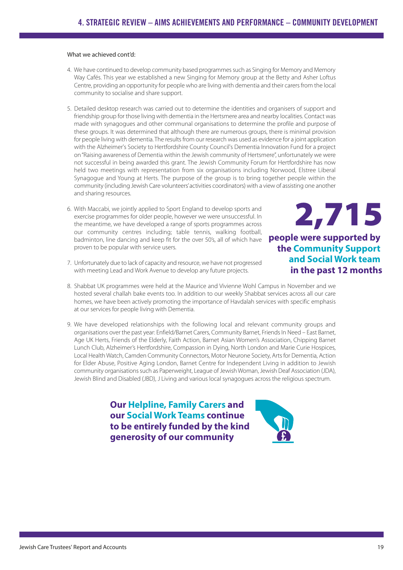### What we achieved cont'd:

- 4. We have continued to develop community based programmes such as Singing for Memory and Memory Way Cafés. This year we established a new Singing for Memory group at the Betty and Asher Loftus Centre, providing an opportunity for people who are living with dementia and their carers from the local community to socialise and share support.
- 5. Detailed desktop research was carried out to determine the identities and organisers of support and friendship group for those living with dementia in the Hertsmere area and nearby localities. Contact was made with synagogues and other communal organisations to determine the profile and purpose of these groups. It was determined that although there are numerous groups, there is minimal provision for people living with dementia. The results from our research was used as evidence for a joint application with the Alzheimer's Society to Hertfordshire County Council's Dementia Innovation Fund for a project on "Raising awareness of Dementia within the Jewish community of Hertsmere", unfortunately we were not successful in being awarded this grant. The Jewish Community Forum for Hertfordshire has now held two meetings with representation from six organisations including Norwood, Elstree Liberal Synagogue and Young at Herts. The purpose of the group is to bring together people within the community (including Jewish Care volunteers' activities coordinators) with a view of assisting one another and sharing resources.
- 6. With Maccabi, we jointly applied to Sport England to develop sports and exercise programmes for older people, however we were unsuccessful. In the meantime, we have developed a range of sports programmes across our community centres including; table tennis, walking football, badminton, line dancing and keep fit for the over 50's, all of which have proven to be popular with service users.



- 7. Unfortunately due to lack of capacity and resource, we have not progressed with meeting Lead and Work Avenue to develop any future projects.
- 8. Shabbat UK programmes were held at the Maurice and Vivienne Wohl Campus in November and we hosted several challah bake events too. In addition to our weekly Shabbat services across all our care homes, we have been actively promoting the importance of Havdalah services with specific emphasis at our services for people living with Dementia.
- 9. We have developed relationships with the following local and relevant community groups and organisations over the past year: Enfield/Barnet Carers, Community Barnet, Friends In Need – East Barnet, Age UK Herts, Friends of the Elderly, Faith Action, Barnet Asian Women's Association, Chipping Barnet Lunch Club, Alzheimer's Hertfordshire, Compassion in Dying, North London and Marie Curie Hospices, Local Health Watch, Camden Community Connectors, Motor Neurone Society, Arts for Dementia, Action for Elder Abuse, Positive Aging London, Barnet Centre for Independent Living in addition to Jewish community organisations such as Paperweight, League of Jewish Woman, Jewish Deaf Association (JDA), Jewish Blind and Disabled (JBD), J Living and various local synagogues across the religious spectrum.

**Our Helpline, Family Carers and our Social Work Teams continue to be entirely funded by the kind generosity of our community**

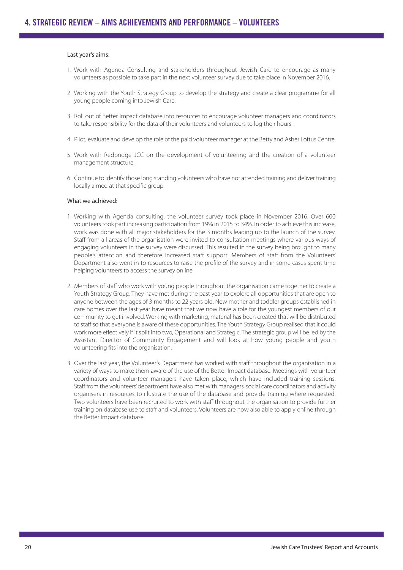#### Last year's aims:

- 1. Work with Agenda Consulting and stakeholders throughout Jewish Care to encourage as many volunteers as possible to take part in the next volunteer survey due to take place in November 2016.
- 2. Working with the Youth Strategy Group to develop the strategy and create a clear programme for all young people coming into Jewish Care.
- 3. Roll out of Better Impact database into resources to encourage volunteer managers and coordinators to take responsibility for the data of their volunteers and volunteers to log their hours.
- 4. Pilot, evaluate and develop the role of the paid volunteer manager at the Betty and Asher Loftus Centre.
- 5. Work with Redbridge JCC on the development of volunteering and the creation of a volunteer management structure.
- 6. Continue to identify those long standing volunteers who have not attended training and deliver training locally aimed at that specific group.

#### What we achieved:

- 1. Working with Agenda consulting, the volunteer survey took place in November 2016. Over 600 volunteers took part increasing participation from 19% in 2015 to 34%. In order to achieve this increase, work was done with all major stakeholders for the 3 months leading up to the launch of the survey. Staff from all areas of the organisation were invited to consultation meetings where various ways of engaging volunteers in the survey were discussed. This resulted in the survey being brought to many people's attention and therefore increased staff support. Members of staff from the Volunteers' Department also went in to resources to raise the profile of the survey and in some cases spent time helping volunteers to access the survey online.
- 2. Members of staff who work with young people throughout the organisation came together to create a Youth Strategy Group. They have met during the past year to explore all opportunities that are open to anyone between the ages of 3 months to 22 years old. New mother and toddler groups established in care homes over the last year have meant that we now have a role for the youngest members of our community to get involved. Working with marketing, material has been created that will be distributed to staff so that everyone is aware of these opportunities. The Youth Strategy Group realised that it could work more effectively if it split into two, Operational and Strategic. The strategic group will be led by the Assistant Director of Community Engagement and will look at how young people and youth volunteering fits into the organisation.
- 3. Over the last year, the Volunteer's Department has worked with staff throughout the organisation in a variety of ways to make them aware of the use of the Better Impact database. Meetings with volunteer coordinators and volunteer managers have taken place, which have included training sessions. Staff from the volunteers' department have also met with managers, social care coordinators and activity organisers in resources to illustrate the use of the database and provide training where requested. Two volunteers have been recruited to work with staff throughout the organisation to provide further training on database use to staff and volunteers. Volunteers are now also able to apply online through the Better Impact database.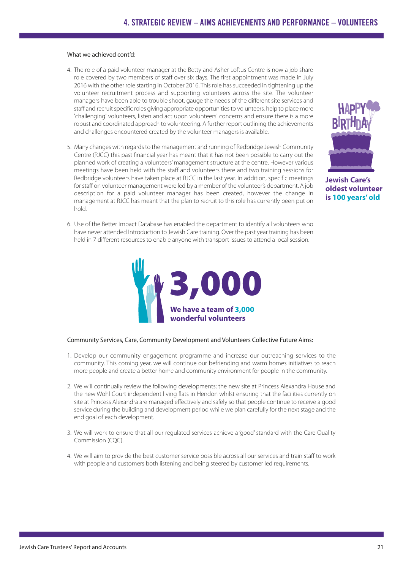#### What we achieved cont'd:

- 4. The role of a paid volunteer manager at the Betty and Asher Loftus Centre is now a job share role covered by two members of staff over six days. The first appointment was made in July 2016 with the other role starting in October 2016. This role has succeeded in tightening up the volunteer recruitment process and supporting volunteers across the site. The volunteer managers have been able to trouble shoot, gauge the needs of the different site services and staff and recruit specific roles giving appropriate opportunities to volunteers, help to place more 'challenging' volunteers, listen and act upon volunteers' concerns and ensure there is a more robust and coordinated approach to volunteering. A further report outlining the achievements and challenges encountered created by the volunteer managers is available.
- 5. Many changes with regards to the management and running of Redbridge Jewish Community Centre (RJCC) this past financial year has meant that it has not been possible to carry out the planned work of creating a volunteers' management structure at the centre. However various meetings have been held with the staff and volunteers there and two training sessions for  Redbridge volunteers have taken place at RJCC in the last year. In addition, specific meetings for staff on volunteer management were led by a member of the volunteer's department. A job description for a paid volunteer manager has been created, however the change in management at RJCC has meant that the plan to recruit to this role has currently been put on hold.



**Jewish Care's oldest volunteer is 100 years' old** 

6. Use of the Better Impact Database has enabled the department to identify all volunteers who have never attended Introduction to Jewish Care training. Over the past year training has been held in 7 different resources to enable anyone with transport issues to attend a local session.



#### Community Services, Care, Community Development and Volunteers Collective Future Aims:

- 1. Develop our community engagement programme and increase our outreaching services to the community. This coming year, we will continue our befriending and warm homes initiatives to reach more people and create a better home and community environment for people in the community.
- 2. We will continually review the following developments; the new site at Princess Alexandra House and the new Wohl Court independent living flats in Hendon whilst ensuring that the facilities currently on site at Princess Alexandra are managed effectively and safely so that people continue to receive a good service during the building and development period while we plan carefully for the next stage and the end goal of each development.
- 3. We will work to ensure that all our regulated services achieve a 'good' standard with the Care Quality Commission (CQC).
- 4. We will aim to provide the best customer service possible across all our services and train staff to work with people and customers both listening and being steered by customer led requirements.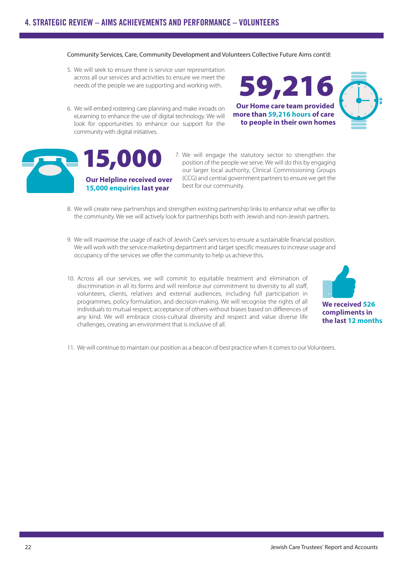Community Services, Care, Community Development and Volunteers Collective Future Aims cont'd:

- 5. We will seek to ensure there is service user representation across all our services and activities to ensure we meet the needs of the people we are supporting and working with.
- 6. We will embed rostering care planning and make inroads on el earning to enhance the use of digital technology. We will look for opportunities to enhance our support for the community with digital initiatives.





7. We will engage the statutory sector to strengthen the position of the people we serve. We will do this by engaging our larger local authority, Clinical Commissioning Groups (CCG) and central government partners to ensure we get the best for our community.

- 8. We will create new partnerships and strengthen existing partnership links to enhance what we offer to the community. We we will actively look for partnerships both with Jewish and non-Jewish partners.
- 9. We will maximise the usage of each of Jewish Care's services to ensure a sustainable financial position. We will work with the service marketing department and target specific measures to increase usage and occupancy of the services we offer the community to help us achieve this.
- 10. Across all our services, we will commit to equitable treatment and elimination of discrimination in all its forms and will reinforce our commitment to diversity to all staff, volunteers, clients, relatives and external audiences, including full participation in programmes, policy formulation, and decision-making. We will recognise the rights of all programmes, policy formulation, and decision-making, we will recognise the rights of all **We received 526**<br>individuals to mutual respect; acceptance of others without biases based on differences of **Compliments in** any kind. We will embrace cross-cultural diversity and respect and value diverse life challenges, creating an environment that is inclusive of all.



11. We will continue to maintain our position as a beacon of best practice when it comes to our Volunteers.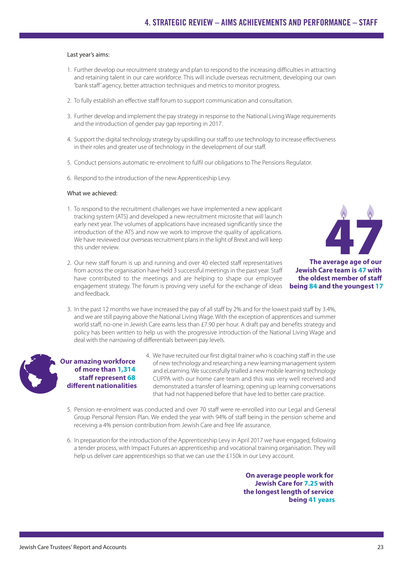## Last year's aims:

- 1. Further develop our recruitment strategy and plan to respond to the increasing difficulties in attracting and retaining talent in our care workforce. This will include overseas recruitment, developing our own 'bank staff' agency, better attraction techniques and metrics to monitor progress.
- 2. To fully establish an effective staff forum to support communication and consultation.
- 3. Further develop and implement the pay strategy in response to the National Living Wage requirements and the introduction of gender pay gap reporting in 2017.
- 4. Support the digital technology strategy by upskilling our staff to use technology to increase effectiveness in their roles and greater use of technology in the development of our staff.
- 5. Conduct pensions automatic re-enrolment to fulfil our obligations to The Pensions Regulator.
- 6. Respond to the introduction of the new Apprenticeship Levy.

#### What we achieved:

**Our amazing workforce of more than 1,314** staff represent 68 **different nationalities** 

1. To respond to the recruitment challenges we have implemented a new applicant tracking system (ATS) and developed a new recruitment microsite that will launch early next year. The volumes of applications have increased significantly since the introduction of the ATS and now we work to improve the quality of applications. We have reviewed our overseas recruitment plans in the light of Brexit and will keep this under review.



**The average age of our Jewish Care team is 47 with the oldest member of staff being 84 and the youngest 17**

- 2. Our new staff forum is up and running and over 40 elected staff representatives from across the organisation have held 3 successful meetings in the past year. Staff have contributed to the meetings and are helping to shape our employee engagement strategy. The forum is proving very useful for the exchange of ideas and feedback.
- 3. In the past 12 months we have increased the pay of all staff by 2% and for the lowest paid staff by 3.4%, and we are still paying above the National Living Wage. With the exception of apprentices and summer world staff, no-one in Jewish Care earns less than £7.90 per hour. A draft pay and benefits strategy and policy has been written to help us with the progressive introduction of the National Living Wage and deal with the narrowing of differentials between pay levels.



- 4. We have recruited our first digital trainer who is coaching staff in the use of new technology and researching a new learning management system and eLearning. We successfully trialled a new mobile learning technology CUPPA with our home care team and this was very well received and demonstrated a transfer of learning; opening up learning conversations that had not happened before that have led to better care practice.
- 5. Pension re-enrolment was conducted and over 70 staff were re-enrolled into our Legal and General Group Personal Pension Plan. We ended the year with 94% of staff being in the pension scheme and receiving a 4% pension contribution from Jewish Care and free life assurance.
- 6. In preparation for the introduction of the Apprenticeship Levy in April 2017 we have engaged, following a tender process, with Impact Futures an apprenticeship and vocational training organisation. They will help us deliver care apprenticeships so that we can use the £150k in our Levy account.

**On average people work for Jewish Care for 7.25 with the longest length of service being 41 years**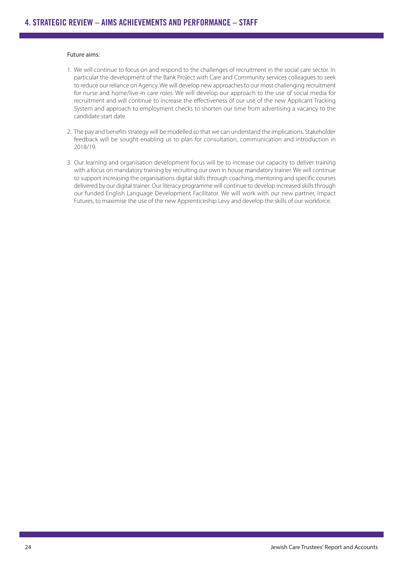#### Future aims:

- 1. We will continue to focus on and respond to the challenges of recruitment in the social care sector. In particular the development of the Bank Project with Care and Community services colleagues to seek to reduce our reliance on Agency. We will develop new approaches to our most challenging recruitment for nurse and home/live-in care roles. We will develop our approach to the use of social media for recruitment and will continue to increase the effectiveness of our use of the new Applicant Tracking System and approach to employment checks to shorten our time from advertising a vacancy to the candidate start date.
- 2. The pay and benefits strategy will be modelled so that we can understand the implications. Stakeholder feedback will be sought enabling us to plan for consultation, communication and introduction in 2018/19.
- 3. Our learning and organisation development focus will be to increase our capacity to deliver training with a focus on mandatory training by recruiting our own in house mandatory trainer. We will continue to support increasing the organisations digital skills through coaching, mentoring and specific courses delivered by our digital trainer. Our literacy programme will continue to develop increased skills through our funded English Language Development Facilitator. We will work with our new partner, Impact Futures, to maximise the use of the new Apprenticeship Levy and develop the skills of our workforce.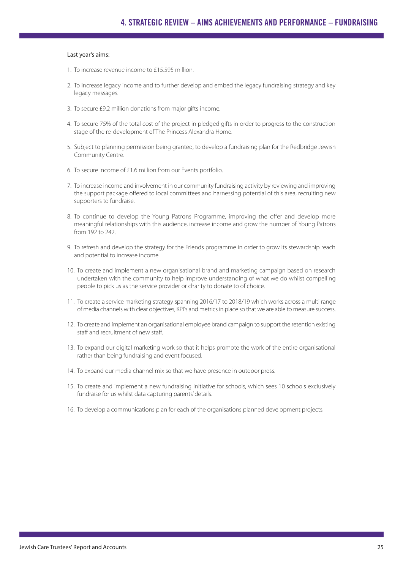## Last year's aims:

- 1. To increase revenue income to £15.595 million.
- 2. To increase legacy income and to further develop and embed the legacy fundraising strategy and key legacy messages.
- 3. To secure £9.2 million donations from major gifts income.
- 4. To secure 75% of the total cost of the project in pledged gifts in order to progress to the construction stage of the re-development of The Princess Alexandra Home.
- 5. Subject to planning permission being granted, to develop a fundraising plan for the Redbridge Jewish Community Centre.
- 6. To secure income of £1.6 million from our Events portfolio.
- 7. To increase income and involvement in our community fundraising activity by reviewing and improving the support package offered to local committees and harnessing potential of this area, recruiting new supporters to fundraise.
- 8. To continue to develop the Young Patrons Programme, improving the offer and develop more meaningful relationships with this audience, increase income and grow the number of Young Patrons from 192 to 242.
- 9. To refresh and develop the strategy for the Friends programme in order to grow its stewardship reach and potential to increase income.
- 10. To create and implement a new organisational brand and marketing campaign based on research undertaken with the community to help improve understanding of what we do whilst compelling people to pick us as the service provider or charity to donate to of choice.
- 11. To create a service marketing strategy spanning 2016/17 to 2018/19 which works across a multi range of media channels with clear objectives, KPI's and metrics in place so that we are able to measure success.
- 12. To create and implement an organisational employee brand campaign to support the retention existing staff and recruitment of new staff.
- 13. To expand our digital marketing work so that it helps promote the work of the entire organisational rather than being fundraising and event focused.
- 14. To expand our media channel mix so that we have presence in outdoor press.
- 15. To create and implement a new fundraising initiative for schools, which sees 10 schools exclusively fundraise for us whilst data capturing parents' details.
- 16. To develop a communications plan for each of the organisations planned development projects.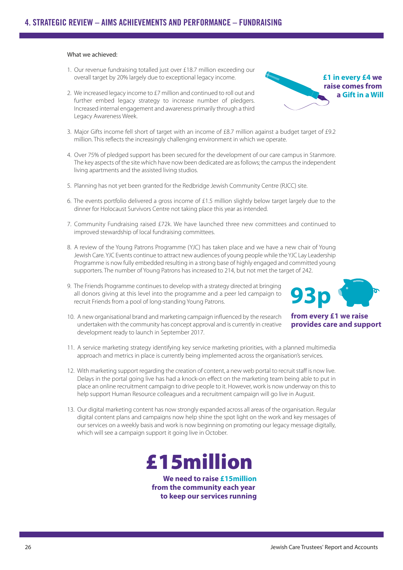#### What we achieved:

- 1. Our revenue fundraising totalled just over £18.7 million exceeding our overall target by 20% largely due to exceptional legacy income.
- 2. We increased legacy income to £7 million and continued to roll out and  2. We increased legacy income to *L* million and continued to roll out and<br> **a Gift in a Will a** Gift in a Will **a** Increased internal engagement and awareness primarily through a third  Legacy Awareness Week.
	- 3. Major Gifts income fell short of target with an income of £8.7 million against a budget target of £9.2 million. This reflects the increasingly challenging environment in which we operate.
	- 4. Over 75% of pledged support has been secured for the development of our care campus in Stanmore. The key aspects of the site which have now been dedicated are as follows; the campus the independent living apartments and the assisted living studios.
	- 5. Planning has not yet been granted for the Redbridge Jewish Community Centre (RJCC) site.
	- 6. The events portfolio delivered a gross income of £1.5 million slightly below target largely due to the dinner for Holocaust Survivors Centre not taking place this year as intended.
	- 7. Community Fundraising raised £72k. We have launched three new committees and continued to improved stewardship of local fundraising committees.
	- 8. A review of the Young Patrons Programme (YJC) has taken place and we have a new chair of Young Jewish Care. YJC Events continue to attract new audiences of young people while the YJC Lay Leadership Programme is now fully embedded resulting in a strong base of highly engaged and committed young supporters. The number of Young Patrons has increased to 214, but not met the target of 242.
	- 9. The Friends Programme continues to develop with a strategy directed at bringing all donors giving at this level into the programme and a peer led campaign to recruit Friends from a pool of long-standing Young Patrons.
	- 10. A new organisational brand and marketing campaign influenced by the research undertaken with the community has concept approval and is currently in creative development ready to launch in September 2017.
	- 11. A service marketing strategy identifying key service marketing priorities, with a planned multimedia approach and metrics in place is currently being implemented across the organisation's services.
	- 12. With marketing support regarding the creation of content, a new web portal to recruit staff is now live. Delays in the portal going live has had a knock-on effect on the marketing team being able to put in place an online recruitment campaign to drive people to it. However, work is now underway on this to help support Human Resource colleagues and a recruitment campaign will go live in August.
	- 13. Our digital marketing content has now strongly expanded across all areas of the organisation. Regular digital content plans and campaigns now help shine the spot light on the work and key messages of our services on a weekly basis and work is now beginning on promoting our legacy message digitally, which will see a campaign support it going live in October.



**We need to raise £15million from the community each year to keep our services running**





**from every £1 we raise provides care and support**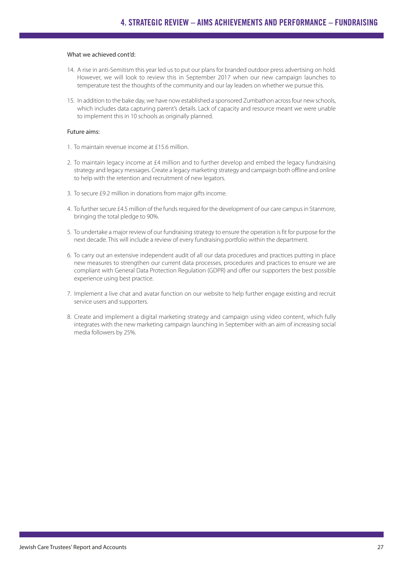#### What we achieved cont'd:

- 14. A rise in anti-Semitism this year led us to put our plans for branded outdoor press advertising on hold. However, we will look to review this in September 2017 when our new campaign launches to temperature test the thoughts of the community and our lay leaders on whether we pursue this.
- 15. In addition to the bake day, we have now established a sponsored Zumbathon across four new schools, which includes data capturing parent's details. Lack of capacity and resource meant we were unable to implement this in 10 schools as originally planned.

# Future aims:

- 1. To maintain revenue income at £15.6 million.
- 2. To maintain legacy income at £4 million and to further develop and embed the legacy fundraising strategy and legacy messages. Create a legacy marketing strategy and campaign both offline and online to help with the retention and recruitment of new legators.
- 3. To secure £9.2 million in donations from major gifts income.
- 4. To further secure £4.5 million of the funds required for the development of our care campus in Stanmore, bringing the total pledge to 90%.
- 5. To undertake a major review of our fundraising strategy to ensure the operation is fit for purpose for the next decade. This will include a review of every fundraising portfolio within the department.
- 6. To carry out an extensive independent audit of all our data procedures and practices putting in place new measures to strengthen our current data processes, procedures and practices to ensure we are compliant with General Data Protection Regulation (GDPR) and offer our supporters the best possible experience using best practice.
- 7. Implement a live chat and avatar function on our website to help further engage existing and recruit service users and supporters.
- 8. Create and implement a digital marketing strategy and campaign using video content, which fully integrates with the new marketing campaign launching in September with an aim of increasing social media followers by 25%.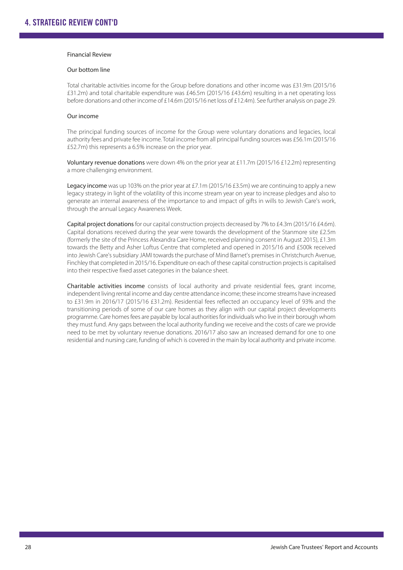#### Financial Review

#### Our bottom line

Total charitable activities income for the Group before donations and other income was £31.9m (2015/16 £31.2m) and total charitable expenditure was £46.5m (2015/16 £43.6m) resulting in a net operating loss before donations and other income of £14.6m (2015/16 net loss of £12.4m). See further analysis on page 29.

## Our income

The principal funding sources of income for the Group were voluntary donations and legacies, local authority fees and private fee income. Total income from all principal funding sources was £56.1m (2015/16 £52.7m) this represents a 6.5% increase on the prior year.

Voluntary revenue donations were down 4% on the prior year at £11.7m (2015/16 £12.2m) representing a more challenging environment.

Legacy income was up 103% on the prior year at £7.1m (2015/16 £3.5m) we are continuing to apply a new legacy strategy in light of the volatility of this income stream year on year to increase pledges and also to generate an internal awareness of the importance to and impact of gifts in wills to Jewish Care's work, through the annual Legacy Awareness Week.

Capital project donations for our capital construction projects decreased by 7% to £4.3m (2015/16 £4.6m). Capital donations received during the year were towards the development of the Stanmore site £2.5m (formerly the site of the Princess Alexandra Care Home, received planning consent in August 2015), £1.3m towards the Betty and Asher Loftus Centre that completed and opened in 2015/16 and £500k received into Jewish Care's subsidiary JAMI towards the purchase of Mind Barnet's premises in Christchurch Avenue, Finchley that completed in 2015/16. Expenditure on each of these capital construction projects is capitalised into their respective fixed asset categories in the balance sheet.

Charitable activities income consists of local authority and private residential fees, grant income, independent living rental income and day centre attendance income; these income streams have increased to £31.9m in 2016/17 (2015/16 £31.2m). Residential fees reflected an occupancy level of 93% and the transitioning periods of some of our care homes as they align with our capital project developments programme. Care homes fees are payable by local authorities for individuals who live in their borough whom they must fund. Any gaps between the local authority funding we receive and the costs of care we provide need to be met by voluntary revenue donations. 2016/17 also saw an increased demand for one to one residential and nursing care, funding of which is covered in the main by local authority and private income.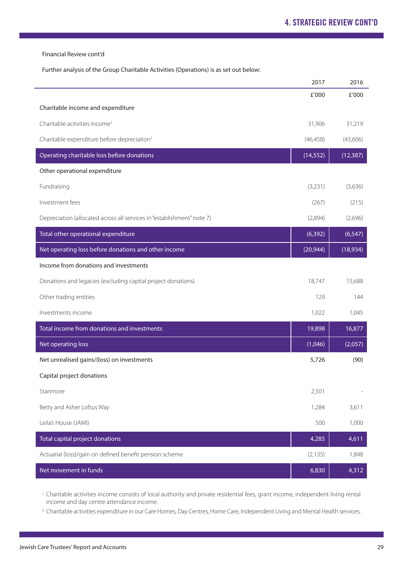Financial Review cont'd

Further analysis of the Group Charitable Activities (Operations) is as set out below:

|                                                                        | 2017      | 2016      |
|------------------------------------------------------------------------|-----------|-----------|
|                                                                        | £'000     | £'000     |
| Charitable income and expenditure                                      |           |           |
| Charitable activities income <sup>1</sup>                              | 31,906    | 31,219    |
| Charitable expenditure before depreciation <sup>2</sup>                | (46, 458) | (43,606)  |
| Operating charitable loss before donations                             | (14, 552) | (12, 387) |
| Other operational expenditure                                          |           |           |
| Fundraising                                                            | (3,231)   | (3,636)   |
| Investment fees                                                        | (267)     | (215)     |
| Depreciation (allocated across all services in "establishment" note 7) | (2,894)   | (2,696)   |
| Total other operational expenditure                                    | (6, 392)  | (6, 547)  |
| Net operating loss before donations and other income                   | (20, 944) | (18,934)  |
| Income from donations and investments                                  |           |           |
| Donations and legacies (excluding capital project donations)           | 18,747    | 15,688    |
| Other trading entities                                                 | 129       | 144       |
| Investments income                                                     | 1,022     | 1,045     |
| Total income from donations and investments                            | 19,898    | 16,877    |
| Net operating loss                                                     | (1,046)   | (2,057)   |
| Net unrealised gains/(loss) on investments                             | 5,726     | (90)      |
| Capital project donations                                              |           |           |
| Stanmore                                                               | 2,501     |           |
| Betty and Asher Loftus Way                                             | 1,284     | 3,611     |
| Leila's House (JAMI)                                                   | 500       | 1,000     |
| Total capital project donations                                        | 4,285     | 4,611     |
| Actuarial (loss)/gain on defined benefit pension scheme                | (2, 135)  | 1,848     |
| Net movement in funds                                                  | 6,830     | 4,312     |

<sup>1</sup> Charitable activities income consists of local authority and private residential fees, grant income, independent living rental income and day centre attendance income.

<sup>2</sup> Charitable activities expenditure in our Care Homes, Day Centres, Home Care, Independent Living and Mental Health services.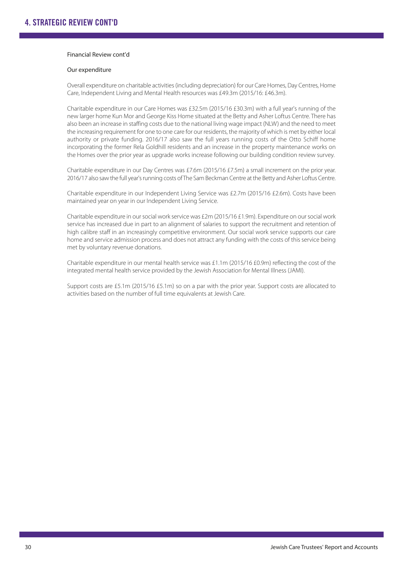### Financial Review cont'd

#### Our expenditure

Overall expenditure on charitable activities (including depreciation) for our Care Homes, Day Centres, Home Care, Independent Living and Mental Health resources was £49.3m (2015/16: £46.3m).

Charitable expenditure in our Care Homes was £32.5m (2015/16 £30.3m) with a full year's running of the new larger home Kun Mor and George Kiss Home situated at the Betty and Asher Loftus Centre. There has also been an increase in staffing costs due to the national living wage impact (NLW) and the need to meet the increasing requirement for one to one care for our residents, the majority of which is met by either local authority or private funding. 2016/17 also saw the full years running costs of the Otto Schiff home incorporating the former Rela Goldhill residents and an increase in the property maintenance works on the Homes over the prior year as upgrade works increase following our building condition review survey.

Charitable expenditure in our Day Centres was £7.6m (2015/16 £7.5m) a small increment on the prior year. 2016/17 also saw the full year's running costs of The Sam Beckman Centre at the Betty and Asher Loftus Centre.

Charitable expenditure in our Independent Living Service was £2.7m (2015/16 £2.6m). Costs have been maintained year on year in our Independent Living Service.

Charitable expenditure in our social work service was £2m (2015/16 £1.9m). Expenditure on our social work service has increased due in part to an alignment of salaries to support the recruitment and retention of high calibre staff in an increasingly competitive environment. Our social work service supports our care home and service admission process and does not attract any funding with the costs of this service being met by voluntary revenue donations.

Charitable expenditure in our mental health service was £1.1m (2015/16 £0.9m) reflecting the cost of the integrated mental health service provided by the Jewish Association for Mental Illness (JAMI).

Support costs are £5.1m (2015/16 £5.1m) so on a par with the prior year. Support costs are allocated to activities based on the number of full time equivalents at Jewish Care.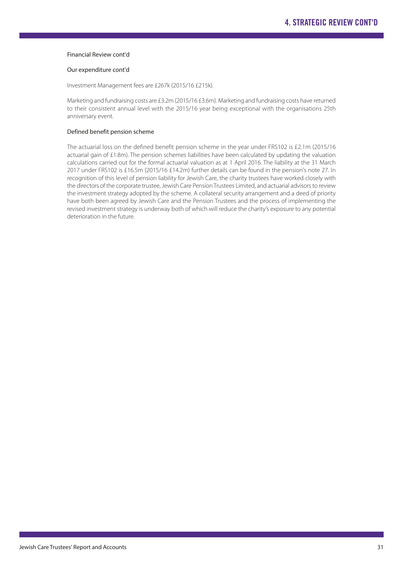#### Financial Review cont'd

#### Our expenditure cont'd

Investment Management fees are £267k (2015/16 £215k).

Marketing and fundraising costs are £3.2m (2015/16 £3.6m). Marketing and fundraising costs have returned to their consistent annual level with the 2015/16 year being exceptional with the organisations 25th anniversary event.

# Defined benefit pension scheme

The actuarial loss on the defined benefit pension scheme in the year under FRS102 is £2.1m (2015/16 actuarial gain of £1.8m). The pension schemes liabilities have been calculated by updating the valuation calculations carried out for the formal actuarial valuation as at 1 April 2016. The liability at the 31 March 2017 under FRS102 is £16.5m (2015/16 £14.2m) further details can be found in the pension's note 27. In recognition of this level of pension liability for Jewish Care, the charity trustees have worked closely with the directors of the corporate trustee, Jewish Care Pension Trustees Limited, and actuarial advisors to review the investment strategy adopted by the scheme. A collateral security arrangement and a deed of priority have both been agreed by Jewish Care and the Pension Trustees and the process of implementing the revised investment strategy is underway both of which will reduce the charity's exposure to any potential deterioration in the future.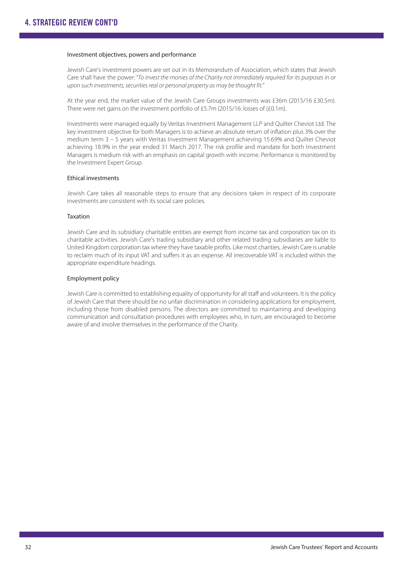### Investment objectives, powers and performance

Jewish Care's investment powers are set out in its Memorandum of Association, which states that Jewish Care shall have the power: "*To invest the monies of the Charity not immediately required for its purposes in or upon such investments, securities real or personal property as may be thought fit.*"

At the year end, the market value of the Jewish Care Groups investments was £36m (2015/16 £30.5m). There were net gains on the investment portfolio of £5.7m (2015/16: losses of (£0.1m).

Investments were managed equally by Veritas Investment Management LLP and Quilter Cheviot Ltd. The key investment objective for both Managers is to achieve an absolute return of inflation plus 3% over the medium term 3 – 5 years with Veritas Investment Management achieving 15.69% and Quilter Cheviot achieving 18.9% in the year ended 31 March 2017. The risk profile and mandate for both Investment Managers is medium risk with an emphasis on capital growth with income. Performance is monitored by the Investment Expert Group.

## Ethical investments

Jewish Care takes all reasonable steps to ensure that any decisions taken in respect of its corporate investments are consistent with its social care policies.

#### Taxation

Jewish Care and its subsidiary charitable entities are exempt from income tax and corporation tax on its charitable activities. Jewish Care's trading subsidiary and other related trading subsidiaries are liable to United Kingdom corporation tax where they have taxable profits. Like most charities, Jewish Care is unable to reclaim much of its input VAT and suffers it as an expense. All irrecoverable VAT is included within the appropriate expenditure headings.

## Employment policy

Jewish Care is committed to establishing equality of opportunity for all staff and volunteers. It is the policy of Jewish Care that there should be no unfair discrimination in considering applications for employment, including those from disabled persons. The directors are committed to maintaining and developing communication and consultation procedures with employees who, in turn, are encouraged to become aware of and involve themselves in the performance of the Charity.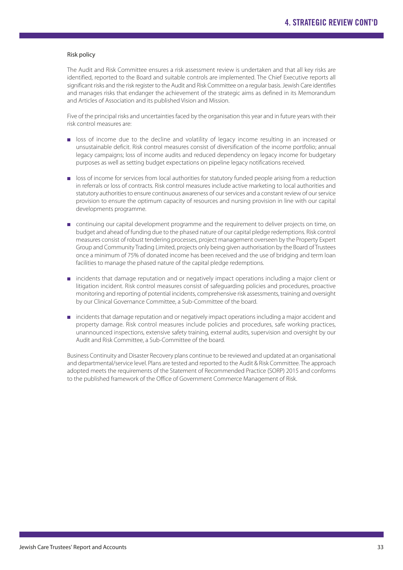## Risk policy

The Audit and Risk Committee ensures a risk assessment review is undertaken and that all key risks are identified, reported to the Board and suitable controls are implemented. The Chief Executive reports all significant risks and the risk register to the Audit and Risk Committee on a regular basis. Jewish Care identifies and manages risks that endanger the achievement of the strategic aims as defined in its Memorandum and Articles of Association and its published Vision and Mission.

Five of the principal risks and uncertainties faced by the organisation this year and in future years with their risk control measures are:

- loss of income due to the decline and volatility of legacy income resulting in an increased or unsustainable deficit. Risk control measures consist of diversification of the income portfolio; annual legacy campaigns; loss of income audits and reduced dependency on legacy income for budgetary purposes as well as setting budget expectations on pipeline legacy notifications received.
- loss of income for services from local authorities for statutory funded people arising from a reduction in referrals or loss of contracts. Risk control measures include active marketing to local authorities and statutory authorities to ensure continuous awareness of our services and a constant review of our service provision to ensure the optimum capacity of resources and nursing provision in line with our capital developments programme.
- continuing our capital development programme and the requirement to deliver projects on time, on budget and ahead of funding due to the phased nature of our capital pledge redemptions. Risk control measures consist of robust tendering processes, project management overseen by the Property Expert Group and Community Trading Limited, projects only being given authorisation by the Board of Trustees once a minimum of 75% of donated income has been received and the use of bridging and term loan facilities to manage the phased nature of the capital pledge redemptions.
- incidents that damage reputation and or negatively impact operations including a major client or litigation incident. Risk control measures consist of safeguarding policies and procedures, proactive monitoring and reporting of potential incidents, comprehensive risk assessments, training and oversight by our Clinical Governance Committee, a Sub-Committee of the board.
- incidents that damage reputation and or negatively impact operations including a major accident and property damage. Risk control measures include policies and procedures, safe working practices, unannounced inspections, extensive safety training, external audits, supervision and oversight by our Audit and Risk Committee, a Sub-Committee of the board.

Business Continuity and Disaster Recovery plans continue to be reviewed and updated at an organisational and departmental/service level. Plans are tested and reported to the Audit & Risk Committee. The approach adopted meets the requirements of the Statement of Recommended Practice (SORP) 2015 and conforms to the published framework of the Office of Government Commerce Management of Risk.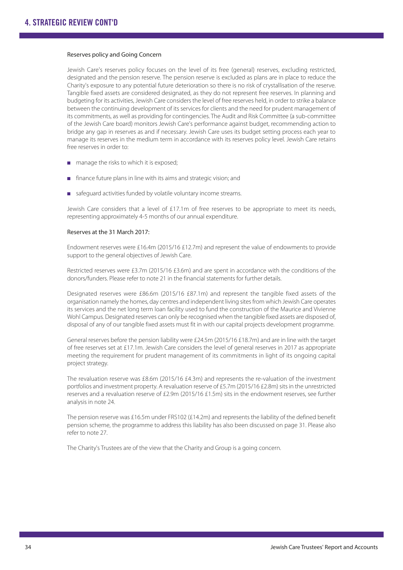### Reserves policy and Going Concern

Jewish Care's reserves policy focuses on the level of its free (general) reserves, excluding restricted, designated and the pension reserve. The pension reserve is excluded as plans are in place to reduce the Charity's exposure to any potential future deterioration so there is no risk of crystallisation of the reserve. Tangible fixed assets are considered designated, as they do not represent free reserves. In planning and budgeting for its activities, Jewish Care considers the level of free reserves held, in order to strike a balance between the continuing development of its services for clients and the need for prudent management of its commitments, as well as providing for contingencies. The Audit and Risk Committee (a sub-committee of the Jewish Care board) monitors Jewish Care's performance against budget, recommending action to bridge any gap in reserves as and if necessary. Jewish Care uses its budget setting process each year to manage its reserves in the medium term in accordance with its reserves policy level. Jewish Care retains free reserves in order to:

- manage the risks to which it is exposed;
- finance future plans in line with its aims and strategic vision; and
- safeguard activities funded by volatile voluntary income streams.

Jewish Care considers that a level of £17.1m of free reserves to be appropriate to meet its needs, representing approximately 4-5 months of our annual expenditure.

#### Reserves at the 31 March 2017:

Endowment reserves were £16.4m (2015/16 £12.7m) and represent the value of endowments to provide support to the general objectives of Jewish Care.

Restricted reserves were £3.7m (2015/16 £3.6m) and are spent in accordance with the conditions of the donors/funders. Please refer to note 21 in the financial statements for further details.

Designated reserves were £86.6m (2015/16 £87.1m) and represent the tangible fixed assets of the organisation namely the homes, day centres and independent living sites from which Jewish Care operates its services and the net long term loan facility used to fund the construction of the Maurice and Vivienne Wohl Campus. Designated reserves can only be recognised when the tangible fixed assets are disposed of, disposal of any of our tangible fixed assets must fit in with our capital projects development programme.

General reserves before the pension liability were £24.5m (2015/16 £18.7m) and are in line with the target of free reserves set at £17.1m. Jewish Care considers the level of general reserves in 2017 as appropriate meeting the requirement for prudent management of its commitments in light of its ongoing capital project strategy.

The revaluation reserve was £8.6m (2015/16 £4.3m) and represents the re-valuation of the investment portfolios and investment property. A revaluation reserve of £5.7m (2015/16 £2.8m) sits in the unrestricted reserves and a revaluation reserve of £2.9m (2015/16 £1.5m) sits in the endowment reserves, see further analysis in note 24.

The pension reserve was £16.5m under FRS102 (£14.2m) and represents the liability of the defined benefit pension scheme, the programme to address this liability has also been discussed on page 31. Please also refer to note 27.

The Charity's Trustees are of the view that the Charity and Group is a going concern.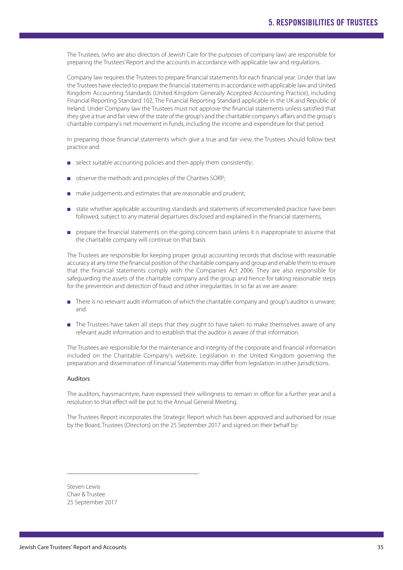The Trustees, (who are also directors of Jewish Care for the purposes of company law) are responsible for preparing the Trustees' Report and the accounts in accordance with applicable law and regulations.

Company law requires the Trustees to prepare financial statements for each financial year. Under that law the Trustees have elected to prepare the financial statements in accordance with applicable law and United Kingdom Accounting Standards (United Kingdom Generally Accepted Accounting Practice), including Financial Reporting Standard 102, The Financial Reporting Standard applicable in the UK and Republic of Ireland. Under Company law the Trustees must not approve the financial statements unless satisfied that they give a true and fair view of the state of the group's and the charitable company's affairs and the group's charitable company's net movement in funds, including the income and expenditure for that period.

In preparing those financial statements which give a true and fair view, the Trustees should follow best practice and:

- select suitable accounting policies and then apply them consistently;
- observe the methods and principles of the Charities SORP;
- make judgements and estimates that are reasonable and prudent;
- state whether applicable accounting standards and statements of recommended practice have been followed, subject to any material departures disclosed and explained in the financial statements;
- prepare the financial statements on the going concern basis unless it is inappropriate to assume that the charitable company will continue on that basis

The Trustees are responsible for keeping proper group accounting records that disclose with reasonable accuracy at any time the financial position of the charitable company and group and enable them to ensure that the financial statements comply with the Companies Act 2006. They are also responsible for safeguarding the assets of the charitable company and the group and hence for taking reasonable steps for the prevention and detection of fraud and other irregularities. In so far as we are aware:

- There is no relevant audit information of which the charitable company and group's auditor is unware; and
- The Trustees have taken all steps that they ought to have taken to make themselves aware of any relevant audit information and to establish that the auditor is aware of that information.

The Trustees are responsible for the maintenance and integrity of the corporate and financial information included on the Charitable Company's website. Legislation in the United Kingdom governing the preparation and dissemination of Financial Statements may differ from legislation in other jurisdictions.

## Auditors

The auditors, haysmacintyre, have expressed their willingness to remain in office for a further year and a resolution to that effect will be put to the Annual General Meeting.

The Trustees Report incorporates the Strategic Report which has been approved and authorised for issue by the Board, Trustees (Directors) on the 25 September 2017 and signed on their behalf by:

Steven Lewis Chair & Trustee 25 September 2017

\_\_\_\_\_\_\_\_\_\_\_\_\_\_\_\_\_\_\_\_\_\_\_\_\_\_\_\_\_\_\_\_\_\_\_\_\_\_\_\_\_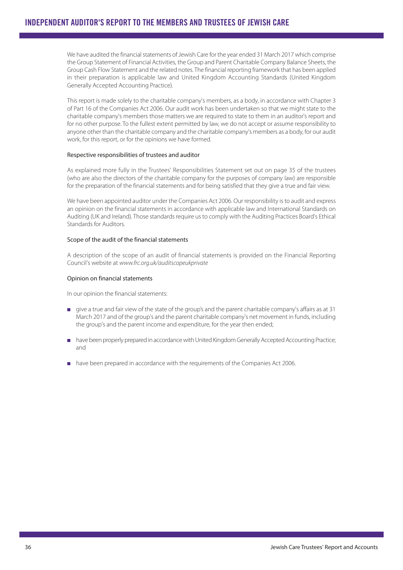We have audited the financial statements of Jewish Care for the year ended 31 March 2017 which comprise the Group Statement of Financial Activities, the Group and Parent Charitable Company Balance Sheets, the Group Cash Flow Statement and the related notes. The financial reporting framework that has been applied in their preparation is applicable law and United Kingdom Accounting Standards (United Kingdom Generally Accepted Accounting Practice).

This report is made solely to the charitable company's members, as a body, in accordance with Chapter 3 of Part 16 of the Companies Act 2006. Our audit work has been undertaken so that we might state to the charitable company's members those matters we are required to state to them in an auditor's report and for no other purpose. To the fullest extent permitted by law, we do not accept or assume responsibility to anyone other than the charitable company and the charitable company's members as a body, for our audit work, for this report, or for the opinions we have formed.

## Respective responsibilities of trustees and auditor

As explained more fully in the Trustees' Responsibilities Statement set out on page 35 of the trustees (who are also the directors of the charitable company for the purposes of company law) are responsible for the preparation of the financial statements and for being satisfied that they give a true and fair view.

We have been appointed auditor under the Companies Act 2006. Our responsibility is to audit and express an opinion on the financial statements in accordance with applicable law and International Standards on Auditing (UK and Ireland). Those standards require us to comply with the Auditing Practices Board's Ethical Standards for Auditors.

# Scope of the audit of the financial statements

A description of the scope of an audit of financial statements is provided on the Financial Reporting Council's website at *www.frc.org.uk/auditscopeukprivate*

# Opinion on financial statements

In our opinion the financial statements:

- give a true and fair view of the state of the group's and the parent charitable company's affairs as at 31 March 2017 and of the group's and the parent charitable company's net movement in funds, including the group's and the parent income and expenditure, for the year then ended;
- have been properly prepared in accordance with United Kingdom Generally Accepted Accounting Practice; and
- have been prepared in accordance with the requirements of the Companies Act 2006.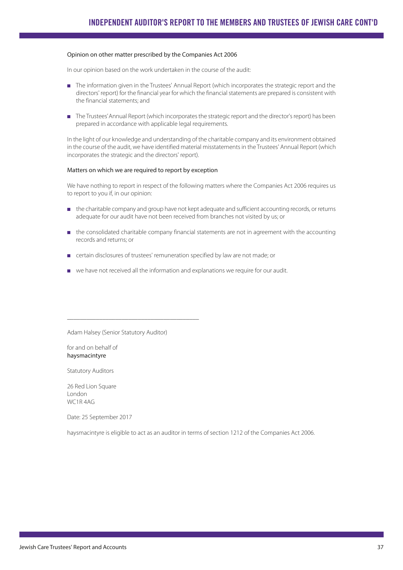### Opinion on other matter prescribed by the Companies Act 2006

In our opinion based on the work undertaken in the course of the audit:

- The information given in the Trustees' Annual Report (which incorporates the strategic report and the directors' report) for the financial year for which the financial statements are prepared is consistent with the financial statements; and
- The Trustees' Annual Report (which incorporates the strategic report and the director's report) has been prepared in accordance with applicable legal requirements.

In the light of our knowledge and understanding of the charitable company and its environment obtained in the course of the audit, we have identified material misstatements in the Trustees' Annual Report (which incorporates the strategic and the directors' report).

#### Matters on which we are required to report by exception

We have nothing to report in respect of the following matters where the Companies Act 2006 requires us to report to you if, in our opinion:

- the charitable company and group have not kept adequate and sufficient accounting records, or returns adequate for our audit have not been received from branches not visited by us; or
- the consolidated charitable company financial statements are not in agreement with the accounting records and returns; or
- certain disclosures of trustees' remuneration specified by law are not made; or
- we have not received all the information and explanations we require for our audit.

Adam Halsey (Senior Statutory Auditor)

\_\_\_\_\_\_\_\_\_\_\_\_\_\_\_\_\_\_\_\_\_\_\_\_\_\_\_\_\_\_\_\_\_\_\_\_\_\_\_\_\_

for and on behalf of haysmacintyre

Statutory Auditors

26 Red Lion Square London WC1R 4AG

Date: 25 September 2017

haysmacintyre is eligible to act as an auditor in terms of section 1212 of the Companies Act 2006.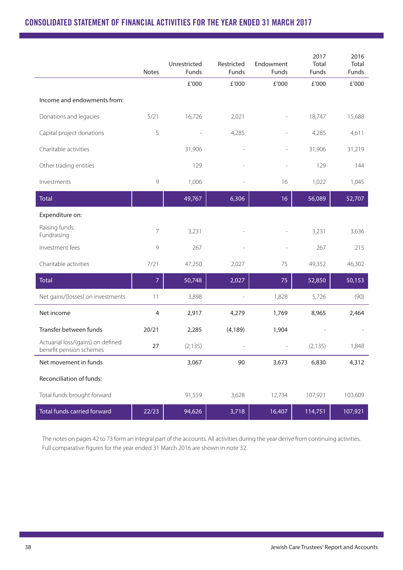|                                                              | <b>Notes</b>   | Unrestricted<br><b>Funds</b> | Restricted<br>Funds | Endowment<br>Funds | 2017<br>Total<br>Funds | 2016<br>Total<br>Funds |
|--------------------------------------------------------------|----------------|------------------------------|---------------------|--------------------|------------------------|------------------------|
|                                                              |                | £'000                        | £'000               | £'000              | £'000                  | $\pounds'000$          |
| Income and endowments from:                                  |                |                              |                     |                    |                        |                        |
| Donations and legacies                                       | 5/21           | 16,726                       | 2,021               |                    | 18,747                 | 15,688                 |
| Capital project donations                                    | 5              |                              | 4,285               |                    | 4,285                  | 4,611                  |
| Charitable activities                                        |                | 31,906                       |                     |                    | 31,906                 | 31,219                 |
| Other trading entities                                       |                | 129                          |                     |                    | 129                    | 144                    |
| Investments                                                  | 9              | 1,006                        |                     | 16                 | 1,022                  | 1,045                  |
| <b>Total</b>                                                 |                | 49,767                       | 6,306               | 16                 | 56,089                 | 52,707                 |
| Expenditure on:                                              |                |                              |                     |                    |                        |                        |
| Raising funds:<br>Fundraising                                | $\overline{7}$ | 3,231                        |                     |                    | 3,231                  | 3,636                  |
| Investment fees                                              | 9              | 267                          |                     |                    | 267                    | 215                    |
| Charitable activities                                        | 7/21           | 47,250                       | 2,027               | 75                 | 49,352                 | 46,302                 |
| <b>Total</b>                                                 | $\overline{7}$ | 50,748                       | 2,027               | 75                 | 52,850                 | 50,153                 |
| Net gains/(losses) on investments                            | 11             | 3,898                        |                     | 1,828              | 5,726                  | (90)                   |
| Net income                                                   | $\overline{4}$ | 2,917                        | 4,279               | 1,769              | 8,965                  | 2,464                  |
| Transfer between funds                                       | 20/21          | 2,285                        | (4, 189)            | 1,904              |                        |                        |
| Actuarial loss/(gains) on defined<br>benefit pension schemes | 27             | (2, 135)                     |                     |                    | (2, 135)               | 1,848                  |
| Net movement in funds                                        |                | 3,067                        | 90                  | 3,673              | 6,830                  | 4,312                  |
| Reconciliation of funds:                                     |                |                              |                     |                    |                        |                        |
| Total funds brought forward                                  |                | 91,559                       | 3,628               | 12,734             | 107,921                | 103,609                |
| Total funds carried forward                                  | 22/23          | 94,626                       | 3,718               | 16,407             | 114,751                | 107,921                |

## CONSOLIDATED STATEMENT OF FINANCIAL ACTIVITIES FOR THE YEAR ENDED 31 MARCH 2017

The notes on pages 42 to 73 form an integral part of the accounts. All activities during the year derive from continuing activities. Full comparative figures for the year ended 31 March 2016 are shown in note 32.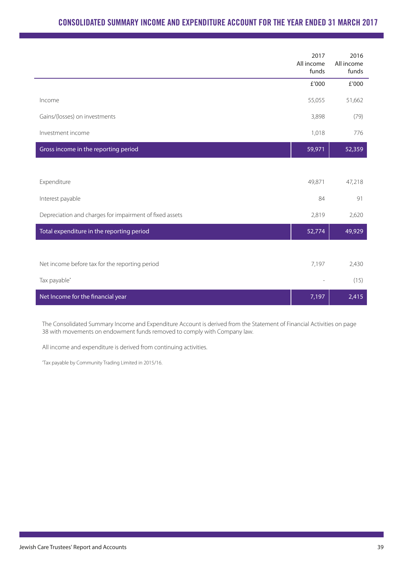## CONSOLIDATED SUMMARY INCOME AND EXPENDITURE ACCOUNT FOR THE YEAR ENDED 31 MARCH 2017

|                                                         | 2017<br>All income<br>funds | 2016<br>All income<br>funds |
|---------------------------------------------------------|-----------------------------|-----------------------------|
|                                                         | £'000                       | £'000                       |
| Income                                                  | 55,055                      | 51,662                      |
| Gains/(losses) on investments                           | 3,898                       | (79)                        |
| Investment income                                       | 1,018                       | 776                         |
| Gross income in the reporting period                    | 59,971                      | 52,359                      |
|                                                         |                             |                             |
| Expenditure                                             | 49,871                      | 47,218                      |
| Interest payable                                        | 84                          | 91                          |
| Depreciation and charges for impairment of fixed assets | 2,819                       | 2,620                       |
| Total expenditure in the reporting period               | 52,774                      | 49,929                      |
|                                                         |                             |                             |
| Net income before tax for the reporting period          | 7,197                       | 2,430                       |
| Tax payable*                                            |                             | (15)                        |
| Net Income for the financial year                       | 7,197                       | 2,415                       |

The Consolidated Summary Income and Expenditure Account is derived from the Statement of Financial Activities on page 38 with movements on endowment funds removed to comply with Company law.

All income and expenditure is derived from continuing activities.

\* Tax payable by Community Trading Limited in 2015/16.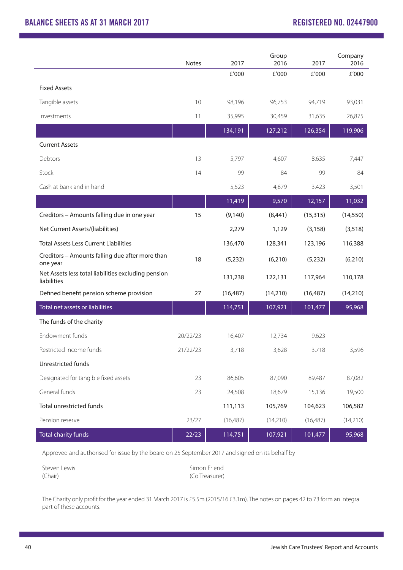|                                                                    | Notes    | 2017      | Group<br>2016 | 2017      | Company<br>2016 |
|--------------------------------------------------------------------|----------|-----------|---------------|-----------|-----------------|
|                                                                    |          | £'000     | $\pounds'000$ | £'000     | £'000           |
| <b>Fixed Assets</b>                                                |          |           |               |           |                 |
| Tangible assets                                                    | 10       | 98,196    | 96,753        | 94,719    | 93,031          |
| Investments                                                        | 11       | 35,995    | 30,459        | 31,635    | 26,875          |
|                                                                    |          | 134,191   | 127,212       | 126,354   | 119,906         |
| <b>Current Assets</b>                                              |          |           |               |           |                 |
| Debtors                                                            | 13       | 5,797     | 4,607         | 8,635     | 7,447           |
| Stock                                                              | 14       | 99        | 84            | 99        | 84              |
| Cash at bank and in hand                                           |          | 5,523     | 4,879         | 3,423     | 3,501           |
|                                                                    |          | 11,419    | 9,570         | 12,157    | 11,032          |
| Creditors - Amounts falling due in one year                        | 15       | (9, 140)  | (8, 441)      | (15, 315) | (14, 550)       |
| Net Current Assets/(liabilities)                                   |          | 2,279     | 1,129         | (3, 158)  | (3, 518)        |
| <b>Total Assets Less Current Liabilities</b>                       |          | 136,470   | 128,341       | 123,196   | 116,388         |
| Creditors - Amounts falling due after more than<br>one year        | 18       | (5,232)   | (6,210)       | (5,232)   | (6, 210)        |
| Net Assets less total liabilities excluding pension<br>liabilities |          | 131,238   | 122,131       | 117,964   | 110,178         |
| Defined benefit pension scheme provision                           | 27       | (16, 487) | (14,210)      | (16, 487) | (14,210)        |
| Total net assets or liabilities                                    |          | 114,751   | 107,921       | 101,477   | 95,968          |
| The funds of the charity                                           |          |           |               |           |                 |
| Endowment funds                                                    | 20/22/23 | 16,407    | 12,734        | 9,623     |                 |
| Restricted income funds                                            | 21/22/23 | 3,718     | 3,628         | 3,718     | 3,596           |
| Unrestricted funds                                                 |          |           |               |           |                 |
| Designated for tangible fixed assets                               | 23       | 86,605    | 87,090        | 89,487    | 87,082          |
| General funds                                                      | 23       | 24,508    | 18,679        | 15,136    | 19,500          |
| Total unrestricted funds                                           |          | 111,113   | 105,769       | 104,623   | 106,582         |
| Pension reserve                                                    | 23/27    | (16,487)  | (14,210)      | (16, 487) | (14,210)        |
| <b>Total charity funds</b>                                         | 22/23    | 114,751   | 107,921       | 101,477   | 95,968          |

Approved and authorised for issue by the board on 25 September 2017 and signed on its behalf by

| Steven Lewis | Simon Friend   |
|--------------|----------------|
| (Chair)      | (Co Treasurer) |

The Charity only profit for the year ended 31 March 2017 is £5.5m (2015/16 £3.1m). The notes on pages 42 to 73 form an integral part of these accounts.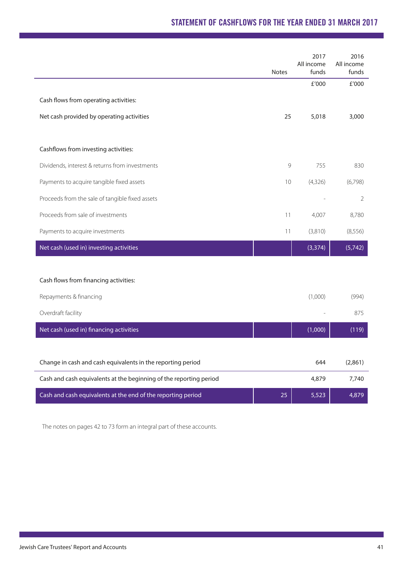|                                                             | Notes | 2017<br>All income<br>funds | 2016<br>All income<br>funds |
|-------------------------------------------------------------|-------|-----------------------------|-----------------------------|
|                                                             |       | $\pounds'000$               | $\pounds'000$               |
| Cash flows from operating activities:                       |       |                             |                             |
| Net cash provided by operating activities                   | 25    | 5,018                       | 3,000                       |
|                                                             |       |                             |                             |
| Cashflows from investing activities:                        |       |                             |                             |
| Dividends, interest & returns from investments              | 9     | 755                         | 830                         |
| Payments to acquire tangible fixed assets                   | 10    | (4,326)                     | (6,798)                     |
| Proceeds from the sale of tangible fixed assets             |       |                             | 2                           |
| Proceeds from sale of investments                           | 11    | 4,007                       | 8,780                       |
| Payments to acquire investments                             | 11    | (3,810)                     | (8,556)                     |
| Net cash (used in) investing activities                     |       | (3, 374)                    | (5,742)                     |
|                                                             |       |                             |                             |
| Cash flows from financing activities:                       |       |                             |                             |
| Repayments & financing                                      |       | (1,000)                     | (994)                       |
| Overdraft facility                                          |       |                             | 875                         |
| Net cash (used in) financing activities                     |       | (1,000)                     | (119)                       |
|                                                             |       |                             |                             |
| Change in cash and cash equivalents in the reporting period |       | 644                         | (2,861)                     |

## STATEMENT OF CASHFLOWS FOR THE YEAR ENDED 31 MARCH 2017

| Change in cash and cash equivalents in the reporting period<br>644 |    | (2,861) |       |
|--------------------------------------------------------------------|----|---------|-------|
| Cash and cash equivalents at the beginning of the reporting period |    | 4.879   | 7.740 |
| Cash and cash equivalents at the end of the reporting period       | 25 | 5,523   | 4,879 |

The notes on pages 42 to 73 form an integral part of these accounts.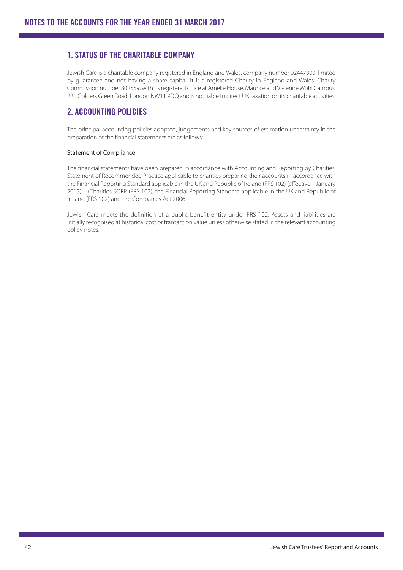## 1. STATUS OF THE CHARITABLE COMPANY

Jewish Care is a charitable company registered in England and Wales, company number 02447900, limited by guarantee and not having a share capital. It is a registered Charity in England and Wales, Charity Commission number 802559, with its registered office at Amelie House, Maurice and Vivienne Wohl Campus, 221 Golders Green Road, London NW11 9DQ and is not liable to direct UK taxation on its charitable activities.

## 2. ACCOUNTING POLICIES

The principal accounting policies adopted, judgements and key sources of estimation uncertainty in the preparation of the financial statements are as follows:

### Statement of Compliance

The financial statements have been prepared in accordance with Accounting and Reporting by Charities: Statement of Recommended Practice applicable to charities preparing their accounts in accordance with the Financial Reporting Standard applicable in the UK and Republic of Ireland (FRS 102) (effective 1 January 2015) – (Charities SORP (FRS 102), the Financial Reporting Standard applicable in the UK and Republic of Ireland (FRS 102) and the Companies Act 2006.

Jewish Care meets the definition of a public benefit entity under FRS 102. Assets and liabilities are initially recognised at historical cost or transaction value unless otherwise stated in the relevant accounting policy notes.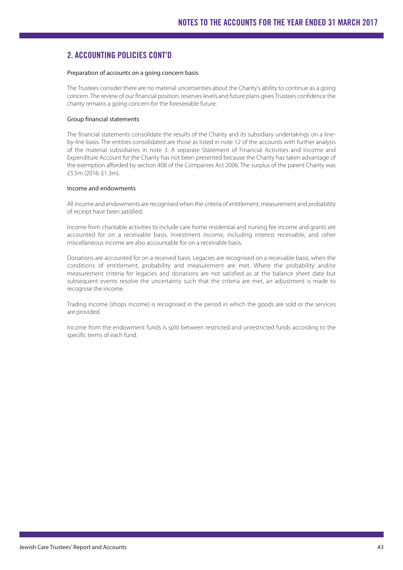### Preparation of accounts on a going concern basis

The Trustees consider there are no material uncertainties about the Charity's ability to continue as a going concern. The review of our financial position, reserves levels and future plans gives Trustees confidence the charity remains a going concern for the foreseeable future.

### Group financial statements

The financial statements consolidate the results of the Charity and its subsidiary undertakings on a lineby-line basis. The entities consolidated are those as listed in note 12 of the accounts with further analysis of the material subsidiaries in note 3. A separate Statement of Financial Activities and Income and Expenditure Account for the Charity has not been presented because the Charity has taken advantage of the exemption afforded by section 408 of the Companies Act 2006. The surplus of the parent Charity was £5.5m (2016: £1.3m).

### Income and endowments

All income and endowments are recognised when the criteria of entitlement, measurement and probability of receipt have been satisfied.

Income from charitable activities to include care home residential and nursing fee income and grants are accounted for on a receivable basis. Investment income, including interest receivable, and other miscellaneous income are also accountable for on a receivable basis.

Donations are accounted for on a received basis. Legacies are recognised on a receivable basis, when the conditions of entitlement, probability and measurement are met. Where the probability and/or measurement criteria for legacies and donations are not satisfied as at the balance sheet date but subsequent events resolve the uncertainty such that the criteria are met, an adjustment is made to recognise the income.

Trading income (shops income) is recognised in the period in which the goods are sold or the services are provided.

Income from the endowment funds is split between restricted and unrestricted funds according to the specific terms of each fund.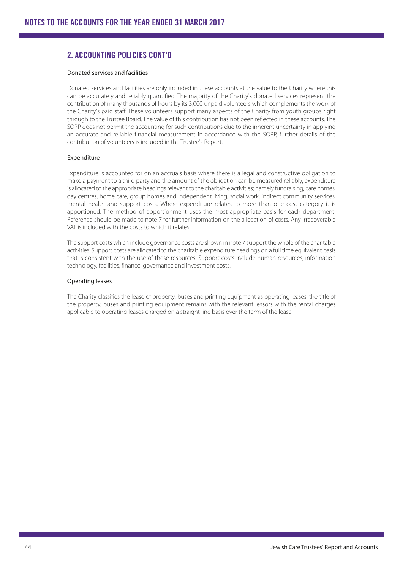### Donated services and facilities

Donated services and facilities are only included in these accounts at the value to the Charity where this can be accurately and reliably quantified. The majority of the Charity's donated services represent the contribution of many thousands of hours by its 3,000 unpaid volunteers which complements the work of the Charity's paid staff. These volunteers support many aspects of the Charity from youth groups right through to the Trustee Board. The value of this contribution has not been reflected in these accounts. The SORP does not permit the accounting for such contributions due to the inherent uncertainty in applying an accurate and reliable financial measurement in accordance with the SORP, further details of the contribution of volunteers is included in the Trustee's Report.

### Expenditure

Expenditure is accounted for on an accruals basis where there is a legal and constructive obligation to make a payment to a third party and the amount of the obligation can be measured reliably, expenditure is allocated to the appropriate headings relevant to the charitable activities; namely fundraising, care homes, day centres, home care, group homes and independent living, social work, indirect community services, mental health and support costs. Where expenditure relates to more than one cost category it is apportioned. The method of apportionment uses the most appropriate basis for each department. Reference should be made to note 7 for further information on the allocation of costs. Any irrecoverable VAT is included with the costs to which it relates.

The support costs which include governance costs are shown in note 7 support the whole of the charitable activities. Support costs are allocated to the charitable expenditure headings on a full time equivalent basis that is consistent with the use of these resources. Support costs include human resources, information technology, facilities, finance, governance and investment costs.

### Operating leases

The Charity classifies the lease of property, buses and printing equipment as operating leases, the title of the property, buses and printing equipment remains with the relevant lessors with the rental charges applicable to operating leases charged on a straight line basis over the term of the lease.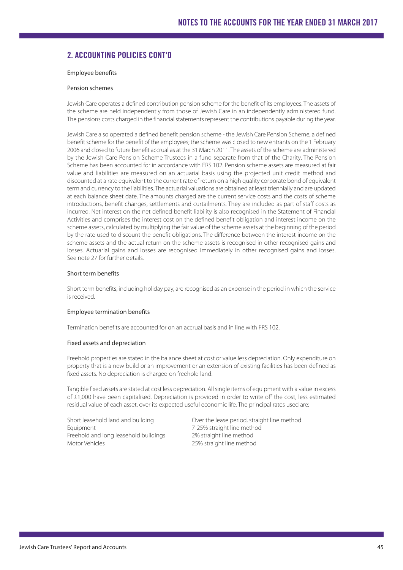### Employee benefits

### Pension schemes

Jewish Care operates a defined contribution pension scheme for the benefit of its employees. The assets of the scheme are held independently from those of Jewish Care in an independently administered fund. The pensions costs charged in the financial statements represent the contributions payable during the year.

Jewish Care also operated a defined benefit pension scheme - the Jewish Care Pension Scheme, a defined benefit scheme for the benefit of the employees; the scheme was closed to new entrants on the 1 February 2006 and closed to future benefit accrual as at the 31 March 2011. The assets of the scheme are administered by the Jewish Care Pension Scheme Trustees in a fund separate from that of the Charity. The Pension Scheme has been accounted for in accordance with FRS 102. Pension scheme assets are measured at fair value and liabilities are measured on an actuarial basis using the projected unit credit method and discounted at a rate equivalent to the current rate of return on a high quality corporate bond of equivalent term and currency to the liabilities. The actuarial valuations are obtained at least triennially and are updated at each balance sheet date. The amounts charged are the current service costs and the costs of scheme introductions, benefit changes, settlements and curtailments. They are included as part of staff costs as incurred. Net interest on the net defined benefit liability is also recognised in the Statement of Financial Activities and comprises the interest cost on the defined benefit obligation and interest income on the scheme assets, calculated by multiplying the fair value of the scheme assets at the beginning of the period by the rate used to discount the benefit obligations. The difference between the interest income on the scheme assets and the actual return on the scheme assets is recognised in other recognised gains and losses. Actuarial gains and losses are recognised immediately in other recognised gains and losses. See note 27 for further details.

#### Short term benefits

Short term benefits, including holiday pay, are recognised as an expense in the period in which the service is received.

### Employee termination benefits

Termination benefits are accounted for on an accrual basis and in line with FRS 102.

### Fixed assets and depreciation

Freehold properties are stated in the balance sheet at cost or value less depreciation. Only expenditure on property that is a new build or an improvement or an extension of existing facilities has been defined as fixed assets. No depreciation is charged on freehold land.

Tangible fixed assets are stated at cost less depreciation. All single items of equipment with a value in excess of £1,000 have been capitalised. Depreciation is provided in order to write off the cost, less estimated residual value of each asset, over its expected useful economic life. The principal rates used are:

Short leasehold land and building **Over the lease period, straight line method** Equipment 7-25% straight line method Freehold and long leasehold buildings 2% straight line method Motor Vehicles 25% straight line method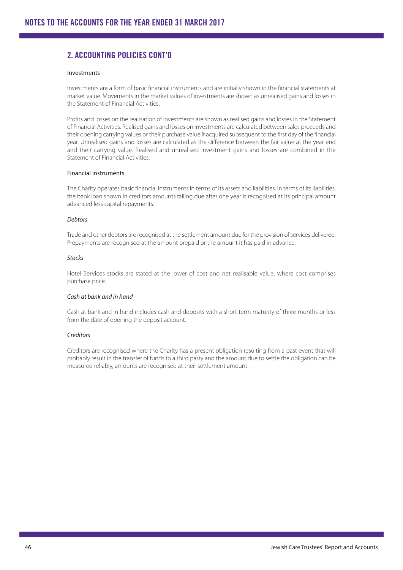### Investments

Investments are a form of basic financial instruments and are initially shown in the financial statements at market value. Movements in the market values of investments are shown as unrealised gains and losses in the Statement of Financial Activities.

Profits and losses on the realisation of investments are shown as realised gains and losses in the Statement of Financial Activities. Realised gains and losses on investments are calculated between sales proceeds and their opening carrying values or their purchase value if acquired subsequent to the first day of the financial year. Unrealised gains and losses are calculated as the difference between the fair value at the year end and their carrying value. Realised and unrealised investment gains and losses are combined in the Statement of Financial Activities.

### Financial instruments

The Charity operates basic financial instruments in terms of its assets and liabilities. In terms of its liabilities, the bank loan shown in creditors amounts falling due after one year is recognised at its principal amount advanced less capital repayments.

### *Debtors*

Trade and other debtors are recognised at the settlement amount due for the provision of services delivered. Prepayments are recognised at the amount prepaid or the amount it has paid in advance.

### *Stocks*

Hotel Services stocks are stated at the lower of cost and net realisable value, where cost comprises purchase price.

### *Cash at bank and in hand*

Cash at bank and in hand includes cash and deposits with a short term maturity of three months or less from the date of opening the deposit account.

### *Creditors*

Creditors are recognised where the Charity has a present obligation resulting from a past event that will probably result in the transfer of funds to a third party and the amount due to settle the obligation can be measured reliably, amounts are recognised at their settlement amount.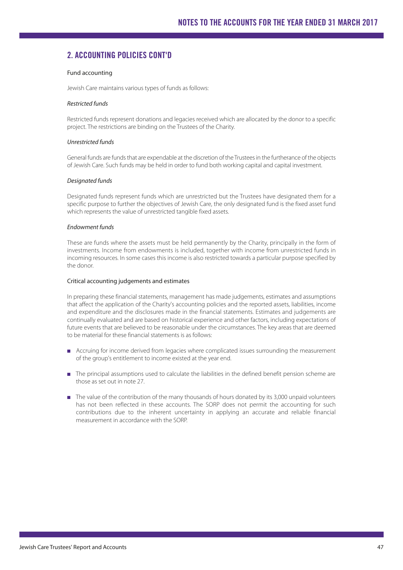### Fund accounting

Jewish Care maintains various types of funds as follows:

### *Restricted funds*

Restricted funds represent donations and legacies received which are allocated by the donor to a specific project. The restrictions are binding on the Trustees of the Charity.

### *Unrestricted funds*

General funds are funds that are expendable at the discretion of the Trustees in the furtherance of the objects of Jewish Care. Such funds may be held in order to fund both working capital and capital investment.

#### *Designated funds*

Designated funds represent funds which are unrestricted but the Trustees have designated them for a specific purpose to further the objectives of Jewish Care, the only designated fund is the fixed asset fund which represents the value of unrestricted tangible fixed assets.

### *Endowment funds*

These are funds where the assets must be held permanently by the Charity, principally in the form of investments. Income from endowments is included, together with income from unrestricted funds in incoming resources. In some cases this income is also restricted towards a particular purpose specified by the donor.

#### Critical accounting judgements and estimates

In preparing these financial statements, management has made judgements, estimates and assumptions that affect the application of the Charity's accounting policies and the reported assets, liabilities, income and expenditure and the disclosures made in the financial statements. Estimates and judgements are continually evaluated and are based on historical experience and other factors, including expectations of future events that are believed to be reasonable under the circumstances. The key areas that are deemed to be material for these financial statements is as follows:

- Accruing for income derived from legacies where complicated issues surrounding the measurement of the group's entitlement to income existed at the year end.
- The principal assumptions used to calculate the liabilities in the defined benefit pension scheme are those as set out in note 27.
- The value of the contribution of the many thousands of hours donated by its 3,000 unpaid volunteers has not been reflected in these accounts. The SORP does not permit the accounting for such contributions due to the inherent uncertainty in applying an accurate and reliable financial measurement in accordance with the SORP.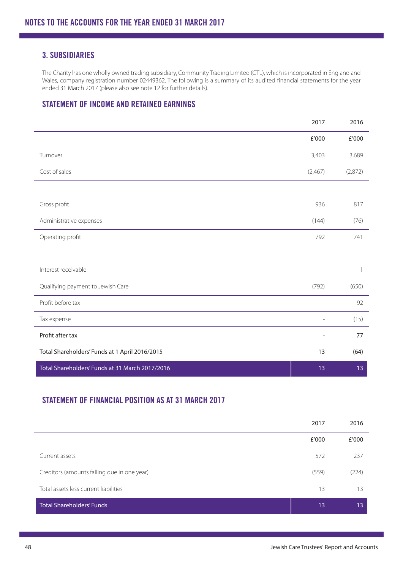## 3. SUBSIDIARIES

The Charity has one wholly owned trading subsidiary, Community Trading Limited (CTL), which is incorporated in England and Wales, company registration number 02449362. The following is a summary of its audited financial statements for the year ended 31 March 2017 (please also see note 12 for further details).

## STATEMENT OF INCOME AND RETAINED EARNINGS

|                                                 | 2017    | 2016          |
|-------------------------------------------------|---------|---------------|
|                                                 | £'000   | $\pounds'000$ |
| Turnover                                        | 3,403   | 3,689         |
| Cost of sales                                   | (2,467) | (2,872)       |
|                                                 |         |               |
| Gross profit                                    | 936     | 817           |
| Administrative expenses                         | (144)   | (76)          |
| Operating profit                                | 792     | 741           |
|                                                 |         |               |
| Interest receivable                             |         | $\mathbf{1}$  |
| Qualifying payment to Jewish Care               | (792)   | (650)         |
| Profit before tax                               |         | 92            |
| Tax expense                                     |         | (15)          |
| Profit after tax                                |         | 77            |
| Total Shareholders' Funds at 1 April 2016/2015  | 13      | (64)          |
| Total Shareholders' Funds at 31 March 2017/2016 | 13      | 13            |

## STATEMENT OF FINANCIAL POSITION AS AT 31 MARCH 2017

|                                             | 2017  | 2016  |
|---------------------------------------------|-------|-------|
|                                             | £'000 | £'000 |
| Current assets                              | 572   | 237   |
| Creditors (amounts falling due in one year) | (559) | (224) |
| Total assets less current liabilities       | 13    | 13    |
| <b>Total Shareholders' Funds</b>            | 13    | 13    |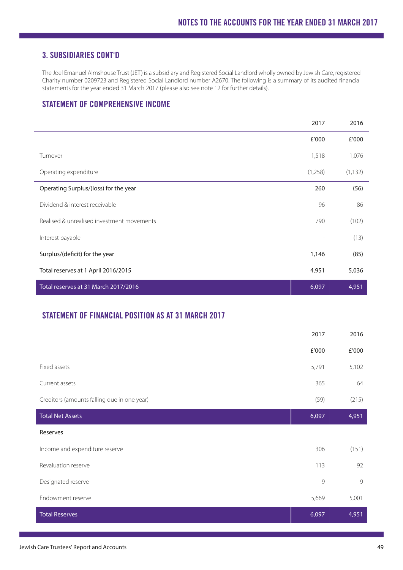# 3. SUBSIDIARIES CONT'D

The Joel Emanuel Almshouse Trust (JET) is a subsidiary and Registered Social Landlord wholly owned by Jewish Care, registered Charity number 0209723 and Registered Social Landlord number A2670. The following is a summary of its audited financial statements for the year ended 31 March 2017 (please also see note 12 for further details).

## STATEMENT OF COMPREHENSIVE INCOME

|                                            | 2017    | 2016     |
|--------------------------------------------|---------|----------|
|                                            | £'000   | £'000    |
| Turnover                                   | 1,518   | 1,076    |
| Operating expenditure                      | (1,258) | (1, 132) |
| Operating Surplus/(loss) for the year      | 260     | (56)     |
| Dividend & interest receivable             | 96      | 86       |
| Realised & unrealised investment movements | 790     | (102)    |
| Interest payable                           |         | (13)     |
| Surplus/(deficit) for the year             | 1,146   | (85)     |
| Total reserves at 1 April 2016/2015        | 4,951   | 5,036    |
| Total reserves at 31 March 2017/2016       | 6,097   | 4,951    |

# STATEMENT OF FINANCIAL POSITION AS AT 31 MARCH 2017

|                                             | 2017          | 2016          |
|---------------------------------------------|---------------|---------------|
|                                             | $\pounds'000$ | $\pounds'000$ |
| Fixed assets                                | 5,791         | 5,102         |
| Current assets                              | 365           | 64            |
| Creditors (amounts falling due in one year) | (59)          | (215)         |
| <b>Total Net Assets</b>                     | 6,097         | 4,951         |
| Reserves                                    |               |               |
| Income and expenditure reserve              | 306           | (151)         |
| Revaluation reserve                         | 113           | 92            |
| Designated reserve                          | 9             | 9             |
| Endowment reserve                           | 5,669         | 5,001         |
| <b>Total Reserves</b>                       | 6,097         | 4,951         |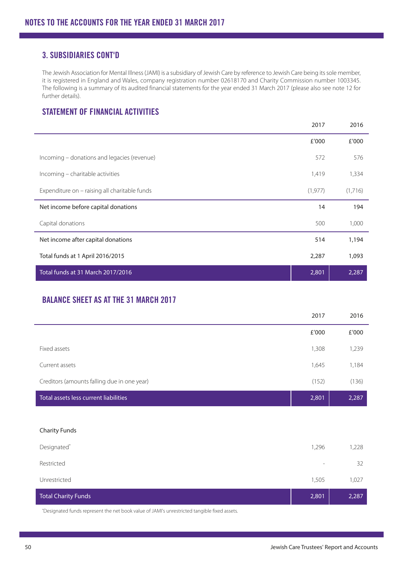## 3. SUBSIDIARIES CONT'D

The Jewish Association for Mental Illness (JAMI) is a subsidiary of Jewish Care by reference to Jewish Care being its sole member, it is registered in England and Wales, company registration number 02618170 and Charity Commission number 1003345. The following is a summary of its audited financial statements for the year ended 31 March 2017 (please also see note 12 for further details).

# STATEMENT OF FINANCIAL ACTIVITIES

|                                               | 2017     | 2016    |
|-----------------------------------------------|----------|---------|
|                                               | £'000    | £'000   |
| Incoming – donations and legacies (revenue)   | 572      | 576     |
| Incoming - charitable activities              | 1,419    | 1,334   |
| Expenditure on - raising all charitable funds | (1, 977) | (1,716) |
| Net income before capital donations           | 14       | 194     |
| Capital donations                             | 500      | 1,000   |
| Net income after capital donations            | 514      | 1,194   |
| Total funds at 1 April 2016/2015              | 2,287    | 1,093   |
| Total funds at 31 March 2017/2016             | 2,801    | 2,287   |

## BALANCE SHEET AS AT THE 31 MARCH 2017

|                                             | 2017  | 2016  |
|---------------------------------------------|-------|-------|
|                                             | £'000 | £'000 |
| Fixed assets                                | 1,308 | 1,239 |
| Current assets                              | 1,645 | 1,184 |
| Creditors (amounts falling due in one year) | (152) | (136) |
| Total assets less current liabilities       | 2,801 | 2,287 |

### Charity Funds

| Designated*                | 1,296  | 1,228 |
|----------------------------|--------|-------|
| Restricted                 | $\sim$ | 32    |
| Unrestricted               | 1,505  | 1,027 |
| <b>Total Charity Funds</b> | 2,801  | 2,287 |

\* Designated funds represent the net book value of JAMI's unrestricted tangible fixed assets.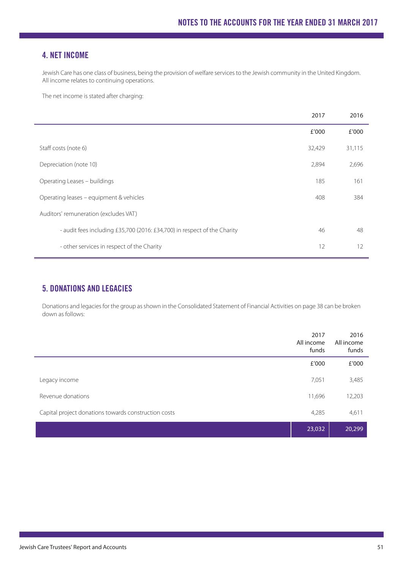# 4. NET INCOME

Jewish Care has one class of business, being the provision of welfare services to the Jewish community in the United Kingdom. All income relates to continuing operations.

The net income is stated after charging:

|                                                                          | 2017   | 2016   |
|--------------------------------------------------------------------------|--------|--------|
|                                                                          | £'000  | £'000  |
| Staff costs (note 6)                                                     | 32,429 | 31,115 |
| Depreciation (note 10)                                                   | 2,894  | 2,696  |
| Operating Leases - buildings                                             | 185    | 161    |
| Operating leases - equipment & vehicles                                  | 408    | 384    |
| Auditors' remuneration (excludes VAT)                                    |        |        |
| - audit fees including £35,700 (2016: £34,700) in respect of the Charity | 46     | 48     |
| - other services in respect of the Charity                               | 12     | 12     |

## 5. DONATIONS AND LEGACIES

Donations and legacies for the group as shown in the Consolidated Statement of Financial Activities on page 38 can be broken down as follows:

|                                                      | 2017<br>All income<br>funds | 2016<br>All income<br>funds |
|------------------------------------------------------|-----------------------------|-----------------------------|
|                                                      | £'000                       | £'000                       |
| Legacy income                                        | 7,051                       | 3,485                       |
| Revenue donations                                    | 11,696                      | 12,203                      |
| Capital project donations towards construction costs | 4,285                       | 4,611                       |
|                                                      | 23,032                      | 20,299                      |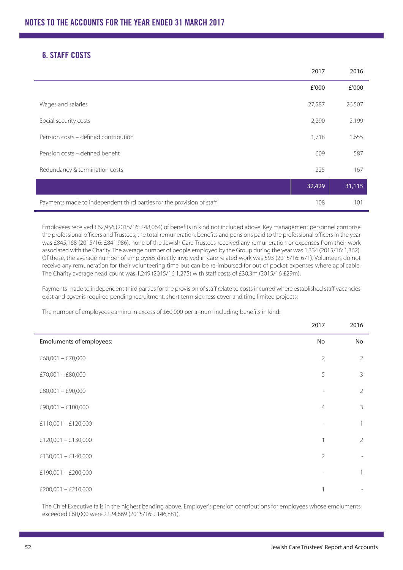### 6. STAFF COSTS

|                                                                       | 2017   | 2016   |
|-----------------------------------------------------------------------|--------|--------|
|                                                                       | £'000  | £'000  |
| Wages and salaries                                                    | 27,587 | 26,507 |
| Social security costs                                                 | 2,290  | 2,199  |
| Pension costs – defined contribution                                  | 1,718  | 1,655  |
| Pension costs – defined benefit                                       | 609    | 587    |
| Redundancy & termination costs                                        | 225    | 167    |
|                                                                       | 32,429 | 31,115 |
| Payments made to independent third parties for the provision of staff | 108    | 101    |

Employees received £62,956 (2015/16: £48,064) of benefits in kind not included above. Key management personnel comprise the professional officers and Trustees, the total remuneration, benefits and pensions paid to the professional officers in the year was £845,168 (2015/16: £841,986), none of the Jewish Care Trustees received any remuneration or expenses from their work associated with the Charity. The average number of people employed by the Group during the year was 1,334 (2015/16: 1,362). Of these, the average number of employees directly involved in care related work was 593 (2015/16: 671). Volunteers do not receive any remuneration for their volunteering time but can be re-imbursed for out of pocket expenses where applicable. The Charity average head count was 1,249 (2015/16 1,275) with staff costs of £30.3m (2015/16 £29m).

Payments made to independent third parties for the provision of staff relate to costs incurred where established staff vacancies exist and cover is required pending recruitment, short term sickness cover and time limited projects.

The number of employees earning in excess of £60,000 per annum including benefits in kind:

|                          | 2017           | 2016           |
|--------------------------|----------------|----------------|
| Emoluments of employees: | No             | No             |
| $£60,001 - £70,000$      | $\overline{2}$ | 2              |
| $£70,001 - £80,000$      | 5              | 3              |
| £80,001 - £90,000        |                | $\overline{2}$ |
| £90,001 - £100,000       | $\overline{4}$ | 3              |
| $£110,001 - £120,000$    |                | 1              |
| £120,001 - £130,000      | $\mathbf{1}$   | 2              |
| £130,001 - £140,000      | $\overline{2}$ |                |
| £190,001 - £200,000      |                | 1              |
| £200,001 - £210,000      | $\mathbf{1}$   |                |

The Chief Executive falls in the highest banding above. Employer's pension contributions for employees whose emoluments exceeded £60,000 were £124,669 (2015/16: £146,881).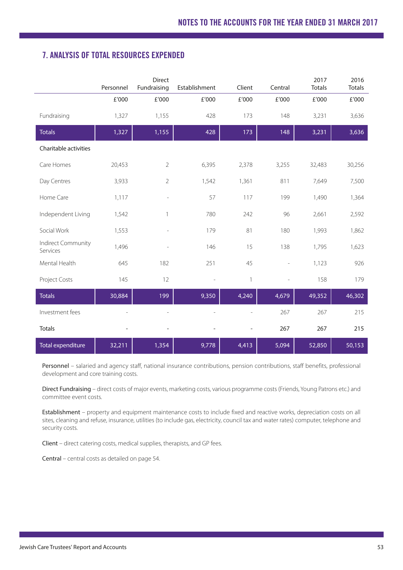## 7. ANALYSIS OF TOTAL RESOURCES EXPENDED

|                                       | Personnel | Direct<br>Fundraising | Establishment | Client       | Central | 2017<br><b>Totals</b> | 2016<br><b>Totals</b> |
|---------------------------------------|-----------|-----------------------|---------------|--------------|---------|-----------------------|-----------------------|
|                                       | £'000     | £'000                 | £'000         | £'000        | £'000   | £'000                 | $\pounds'000$         |
| Fundraising                           | 1,327     | 1,155                 | 428           | 173          | 148     | 3,231                 | 3,636                 |
| <b>Totals</b>                         | 1,327     | 1,155                 | 428           | 173          | 148     | 3,231                 | 3,636                 |
| Charitable activities                 |           |                       |               |              |         |                       |                       |
| Care Homes                            | 20,453    | $\overline{2}$        | 6,395         | 2,378        | 3,255   | 32,483                | 30,256                |
| Day Centres                           | 3,933     | $\overline{2}$        | 1,542         | 1,361        | 811     | 7,649                 | 7,500                 |
| Home Care                             | 1,117     |                       | 57            | 117          | 199     | 1,490                 | 1,364                 |
| Independent Living                    | 1,542     | $\mathbf{1}$          | 780           | 242          | 96      | 2,661                 | 2,592                 |
| Social Work                           | 1,553     |                       | 179           | 81           | 180     | 1,993                 | 1,862                 |
| <b>Indirect Community</b><br>Services | 1,496     |                       | 146           | 15           | 138     | 1,795                 | 1,623                 |
| Mental Health                         | 645       | 182                   | 251           | 45           |         | 1,123                 | 926                   |
| Project Costs                         | 145       | 12                    |               | $\mathbf{1}$ |         | 158                   | 179                   |
| <b>Totals</b>                         | 30,884    | 199                   | 9,350         | 4,240        | 4,679   | 49,352                | 46,302                |
| Investment fees                       |           |                       |               |              | 267     | 267                   | 215                   |
| <b>Totals</b>                         |           |                       |               |              | 267     | 267                   | 215                   |
| Total expenditure                     | 32,211    | 1,354                 | 9,778         | 4,413        | 5,094   | 52,850                | 50,153                |

Personnel – salaried and agency staff, national insurance contributions, pension contributions, staff benefits, professional development and core training costs.

Direct Fundraising – direct costs of major events, marketing costs, various programme costs (Friends, Young Patrons etc.) and committee event costs.

Establishment – property and equipment maintenance costs to include fixed and reactive works, depreciation costs on all sites, cleaning and refuse, insurance, utilities (to include gas, electricity, council tax and water rates) computer, telephone and security costs.

Client – direct catering costs, medical supplies, therapists, and GP fees.

Central – central costs as detailed on page 54.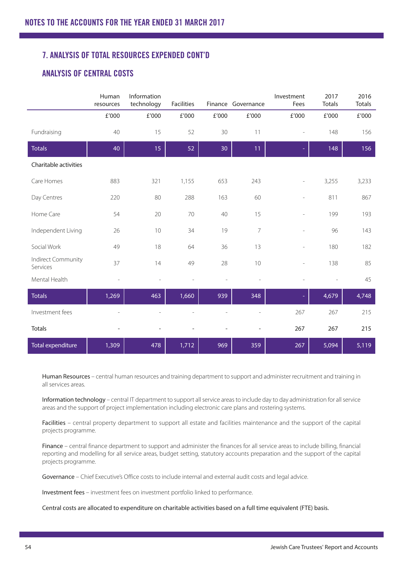## 7. ANALYSIS OF TOTAL RESOURCES EXPENDED CONT'D

## ANALYSIS OF CENTRAL COSTS

|                                | Human<br>resources | Information<br>technology | Facilities |       | Finance Governance       | Investment<br>Fees       | 2017<br><b>Totals</b> | 2016<br><b>Totals</b> |
|--------------------------------|--------------------|---------------------------|------------|-------|--------------------------|--------------------------|-----------------------|-----------------------|
|                                | £'000              | £'000                     | £'000      | £'000 | £'000                    | $£'000$                  | £'000                 | $\pounds'000$         |
| Fundraising                    | 40                 | 15                        | 52         | 30    | 11                       |                          | 148                   | 156                   |
| <b>Totals</b>                  | 40                 | 15                        | 52         | 30    | 11                       |                          | 148                   | 156                   |
| Charitable activities          |                    |                           |            |       |                          |                          |                       |                       |
| Care Homes                     | 883                | 321                       | 1,155      | 653   | 243                      | $\overline{\phantom{0}}$ | 3,255                 | 3,233                 |
| Day Centres                    | 220                | 80                        | 288        | 163   | 60                       | $\overline{\phantom{0}}$ | 811                   | 867                   |
| Home Care                      | 54                 | 20                        | 70         | 40    | 15                       | L,                       | 199                   | 193                   |
| Independent Living             | 26                 | $10$                      | 34         | 19    | $\overline{\mathcal{I}}$ |                          | 96                    | 143                   |
| Social Work                    | 49                 | 18                        | 64         | 36    | 13                       | $\overline{\phantom{0}}$ | 180                   | 182                   |
| Indirect Community<br>Services | 37                 | 14                        | 49         | 28    | 10                       |                          | 138                   | 85                    |
| Mental Health                  |                    |                           |            |       |                          |                          |                       | 45                    |
| <b>Totals</b>                  | 1,269              | 463                       | 1,660      | 939   | 348                      |                          | 4,679                 | 4,748                 |
| Investment fees                |                    |                           |            |       |                          | 267                      | 267                   | 215                   |
| <b>Totals</b>                  |                    |                           |            |       |                          | 267                      | 267                   | 215                   |
| Total expenditure              | 1,309              | 478                       | 1,712      | 969   | 359                      | 267                      | 5,094                 | $\sqrt{5,119}$        |

Human Resources – central human resources and training department to support and administer recruitment and training in all services areas.

Information technology – central IT department to support all service areas to include day to day administration for all service areas and the support of project implementation including electronic care plans and rostering systems.

Facilities – central property department to support all estate and facilities maintenance and the support of the capital projects programme.

Finance – central finance department to support and administer the finances for all service areas to include billing, financial reporting and modelling for all service areas, budget setting, statutory accounts preparation and the support of the capital projects programme.

Governance – Chief Executive's Office costs to include internal and external audit costs and legal advice.

Investment fees – investment fees on investment portfolio linked to performance.

Central costs are allocated to expenditure on charitable activities based on a full time equivalent (FTE) basis.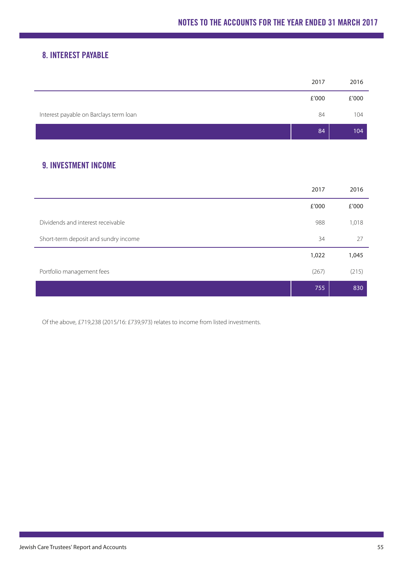# 8. INTEREST PAYABLE

|                                        | 2017  | 2016  |
|----------------------------------------|-------|-------|
|                                        | £'000 | £'000 |
| Interest payable on Barclays term loan | 84    | 104   |
|                                        | 84    | 104   |

# 9. INVESTMENT INCOME

|                                      | 2017  | 2016  |
|--------------------------------------|-------|-------|
|                                      | £'000 | £'000 |
| Dividends and interest receivable    | 988   | 1,018 |
| Short-term deposit and sundry income | 34    | 27    |
|                                      | 1,022 | 1,045 |
| Portfolio management fees            | (267) | (215) |
|                                      | 755   | 830   |

Of the above, £719,238 (2015/16: £739,973) relates to income from listed investments.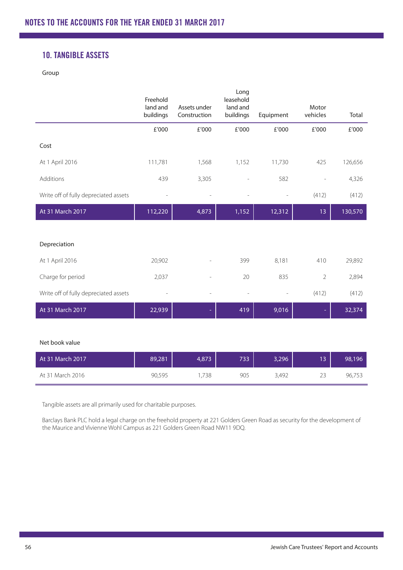# 10. TANGIBLE ASSETS

Group

|                                       | Freehold<br>land and<br>buildings | Assets under<br>Construction | Long<br>leasehold<br>land and<br>buildings | Equipment | Motor<br>vehicles | Total   |
|---------------------------------------|-----------------------------------|------------------------------|--------------------------------------------|-----------|-------------------|---------|
|                                       | £'000                             | £'000                        | £'000                                      | £'000     | £'000             | £'000   |
| Cost                                  |                                   |                              |                                            |           |                   |         |
| At 1 April 2016                       | 111,781                           | 1,568                        | 1,152                                      | 11,730    | 425               | 126,656 |
| Additions                             | 439                               | 3,305                        |                                            | 582       |                   | 4,326   |
| Write off of fully depreciated assets |                                   |                              |                                            |           | (412)             | (412)   |
| At 31 March 2017                      | 112,220                           | 4,873                        | 1,152                                      | 12,312    | 13                | 130,570 |
|                                       |                                   |                              |                                            |           |                   |         |
| Depreciation                          |                                   |                              |                                            |           |                   |         |
| At 1 April 2016                       | 20,902                            |                              | 399                                        | 8,181     | 410               | 29,892  |
| Charge for period                     | 2,037                             |                              | 20                                         | 835       | $\overline{2}$    | 2,894   |
| Write off of fully depreciated assets |                                   |                              | $\overline{\phantom{a}}$                   |           | (412)             | (412)   |
| At 31 March 2017                      | 22,939                            |                              | 419                                        | 9,016     |                   | 32,374  |
|                                       |                                   |                              |                                            |           |                   |         |

### Net book value

| At 31 March 2017 | 89,281 | 4,873 | 733 | 3,296 | 1 <sub>3</sub> | 98,196 |
|------------------|--------|-------|-----|-------|----------------|--------|
| At 31 March 2016 | 90,595 | .738  | 905 | 3,492 |                | 96,753 |

Tangible assets are all primarily used for charitable purposes.

Barclays Bank PLC hold a legal charge on the freehold property at 221 Golders Green Road as security for the development of the Maurice and Vivienne Wohl Campus as 221 Golders Green Road NW11 9DQ.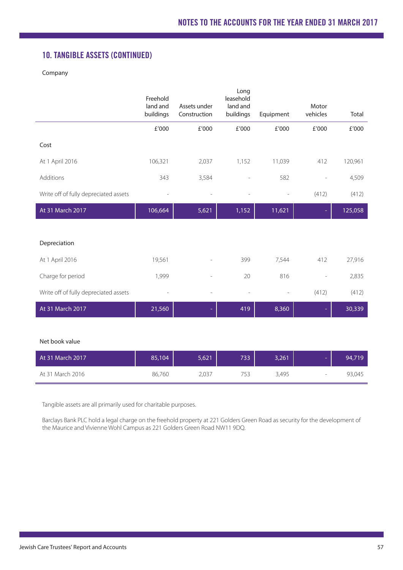# 10. TANGIBLE ASSETS (CONTINUED)

Company

| Freehold<br>land and<br>buildings | Assets under<br>Construction | Long<br>leasehold<br>land and<br>buildings | Equipment                | Motor<br>vehicles | Total   |
|-----------------------------------|------------------------------|--------------------------------------------|--------------------------|-------------------|---------|
| £'000                             | £'000                        | £'000                                      | £'000                    | £'000             | £'000   |
|                                   |                              |                                            |                          |                   |         |
| 106,321                           | 2,037                        | 1,152                                      | 11,039                   | 412               | 120,961 |
| 343                               | 3,584                        |                                            | 582                      |                   | 4,509   |
| $\overline{\phantom{a}}$          | $\overline{\phantom{a}}$     |                                            |                          | (412)             | (412)   |
| 106,664                           | 5,621                        | 1,152                                      | 11,621                   |                   | 125,058 |
|                                   |                              |                                            |                          |                   |         |
|                                   |                              |                                            |                          |                   |         |
| 19,561                            |                              | 399                                        | 7,544                    | 412               | 27,916  |
| 1,999                             |                              | 20                                         | 816                      |                   | 2,835   |
| $\qquad \qquad -$                 | $\overline{\phantom{a}}$     |                                            | $\overline{\phantom{a}}$ | (412)             | (412)   |
| 21,560                            |                              | 419                                        | 8,360                    |                   | 30,339  |
|                                   |                              |                                            |                          |                   |         |

### Net book value

| At 31 March 2017 | 85,104 | 5,621 | 733  | 3,261 | . .    | 94,719 |
|------------------|--------|-------|------|-------|--------|--------|
| At 31 March 2016 | 86.760 | 2,037 | 753. | 3,495 | $\sim$ | 93,045 |

Tangible assets are all primarily used for charitable purposes.

Barclays Bank PLC hold a legal charge on the freehold property at 221 Golders Green Road as security for the development of the Maurice and Vivienne Wohl Campus as 221 Golders Green Road NW11 9DQ.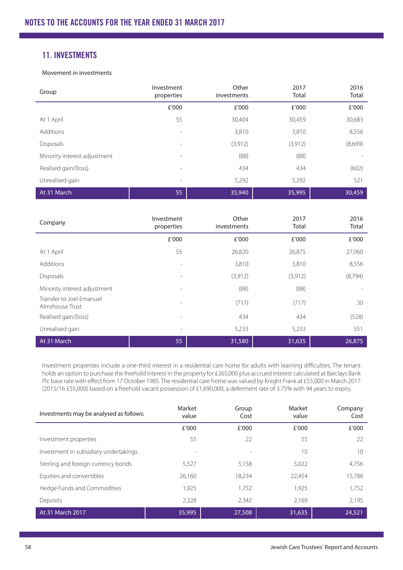## 11. INVESTMENTS

### Movement in investments

| Group                        | Investment<br>properties | Other<br>investments | 2017<br>Total | 2016<br>Total |
|------------------------------|--------------------------|----------------------|---------------|---------------|
|                              | £'000                    | £'000                | £'000         | £'000         |
| At 1 April                   | 55                       | 30,404               | 30,459        | 30,683        |
| Additions                    | $\overline{\phantom{a}}$ | 3,810                | 3,810         | 8,556         |
| <b>Disposals</b>             | $\overline{\phantom{a}}$ | (3,912)              | (3,912)       | (8,699)       |
| Minority interest adjustment | $\overline{\phantom{a}}$ | (88)                 | (88)          |               |
| Realised gain/(loss)         | $\overline{\phantom{a}}$ | 434                  | 434           | (602)         |
| Unrealised gain              | $\overline{\phantom{a}}$ | 5,292                | 5,292         | 521           |
| At 31 March                  | 55                       | 35,940               | 35,995        | 30,459        |

| Company                                     | Investment<br>properties | Other<br>investments | 2017<br>Total | 2016<br>Total |
|---------------------------------------------|--------------------------|----------------------|---------------|---------------|
|                                             | £'000                    | £'000                | £'000         | £'000         |
| At 1 April                                  | 55                       | 26,820               | 26,875        | 27,060        |
| Additions                                   |                          | 3,810                | 3,810         | 8,556         |
| <b>Disposals</b>                            | $\overline{\phantom{a}}$ | (3,912)              | (3,912)       | (8,794)       |
| Minority interest adjustment                | $\overline{\phantom{a}}$ | (88)                 | (88)          |               |
| Transfer to Joel Emanuel<br>Almshouse Trust | $\overline{\phantom{a}}$ | (717)                | (717)         | 30            |
| Realised gain/(loss)                        | $\overline{\phantom{a}}$ | 434                  | 434           | (528)         |
| Unrealised gain                             | $\overline{\phantom{a}}$ | 5,233                | 5,233         | 551           |
| At 31 March                                 | 55                       | 31,580               | 31,635        | 26,875        |

Investment properties include a one-third interest in a residential care home for adults with learning difficulties. The tenant holds an option to purchase the freehold interest in the property for £265,000 plus accrued interest calculated at Barclays Bank Plc base rate with effect from 17 October 1985. The residential care home was valued by Knight Frank at £55,000 in March 2017 (2015/16 £55,000) based on a freehold vacant possession of £1,690,000, a deferment rate of 3.75% with 94 years to expiry.

| Investments may be analysed as follows: | Market<br>value | Group<br>Cost | Market<br>value | Company<br>Cost |
|-----------------------------------------|-----------------|---------------|-----------------|-----------------|
|                                         | £'000           | £'000         | £'000           | £'000           |
| Investment properties                   | 55              | 22            | 55              | 22              |
| Investment in subsidiary undertakings   |                 | ۰             | 10              | 10 <sup>2</sup> |
| Sterling and foreign currency bonds     | 5.527           | 5,158         | 5,022           | 4,756           |
| Equities and convertibles               | 26,160          | 18,234        | 22,454          | 15,786          |
| Hedge Funds and Commodities             | 1.925           | 1,752         | 1.925           | 1.752           |
| Deposits                                | 2,328           | 2,342         | 2,169           | 2,195           |
| At 31 March 2017                        | 35,995          | 27,508        | 31,635          | 24,521          |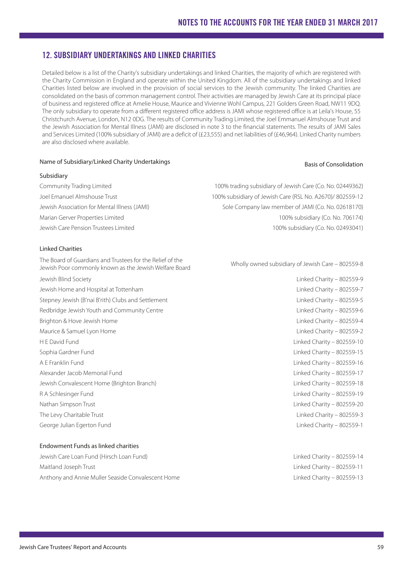## 12. SUBSIDIARY UNDERTAKINGS AND LINKED CHARITIES

Detailed below is a list of the Charity's subsidiary undertakings and linked Charities, the majority of which are registered with the Charity Commission in England and operate within the United Kingdom. All of the subsidiary undertakings and linked Charities listed below are involved in the provision of social services to the Jewish community. The linked Charities are consolidated on the basis of common management control. Their activities are managed by Jewish Care at its principal place of business and registered office at Amelie House, Maurice and Vivienne Wohl Campus, 221 Golders Green Road, NW11 9DQ. The only subsidiary to operate from a different registered office address is JAMI whose registered office is at Leila's House, 55 Christchurch Avenue, London, N12 0DG. The results of Community Trading Limited, the Joel Emmanuel Almshouse Trust and the Jewish Association for Mental Illness (JAMI) are disclosed in note 3 to the financial statements. The results of JAMI Sales and Services Limited (100% subsidiary of JAMI) are a deficit of (£23,555) and net liabilities of (£46,964). Linked Charity numbers are also disclosed where available.

### Name of Subsidiary/Linked Charity Undertakings and Basis of Consolidation

### Subsidiary

### Linked Charities

The Board of Guardians and Trustees for the Relief of the Jewish Poor commonly known as the Jewish Welfare Board Wholly owned subsidiary of Jewish Care – 802559-8

Jewish Blind Society Linked Charity – 802559-9 Jewish Home and Hospital at Tottenham Linked Charity – 802559-7 Stepney Jewish (B'nai B'rith) Clubs and Settlement Linked Charity – 802559-5 Redbridge Jewish Youth and Community Centre Linked Charity – 802559-6 Brighton & Hove Jewish Home Linked Charity – 802559-4 Maurice & Samuel Lyon Home Linked Charity – 802559-2 H E David Fund Linked Charity – 802559-10 Sophia Gardner Fund Linked Charity – 802559-15 A E Franklin Fund Linked Charity – 802559-16 Alexander Jacob Memorial Fund Linked Charity – 802559-17 Jewish Convalescent Home (Brighton Branch) Linked Charity – 802559-18 R A Schlesinger Fund Linked Charity – 802559-19 Nathan Simpson Trust Linked Charity – 802559-20 The Levy Charitable Trust Linked Charity – 802559-3 George Julian Egerton Fund Linked Charity – 802559-1

### Endowment Funds as linked charities

Jewish Care Loan Fund (Hirsch Loan Fund) Linked Charity – 802559-14 Maitland Joseph Trust Linked Charity – 802559-11 Anthony and Annie Muller Seaside Convalescent Home Linked Charity – 802559-13

Community Trading Limited 100% trading subsidiary of Jewish Care (Co. No. 02449362) Joel Emanuel Almshouse Trust 100% subsidiary of Jewish Care (RSL No. A2670)/ 802559-12 Jewish Association for Mental Illness (JAMI) Sole Company law member of JAMI (Co. No. 02618170) Marian Gerver Properties Limited 100% subsidiary (Co. No. 706174) Jewish Care Pension Trustees Limited 100% subsidiary (Co. No. 02493041)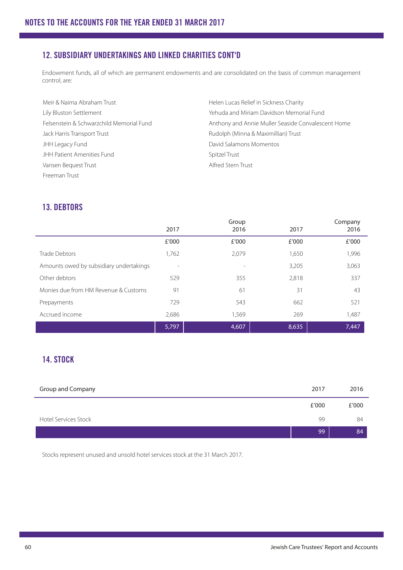# 12. SUBSIDIARY UNDERTAKINGS AND LINKED CHARITIES CONT'D

Endowment funds, all of which are permanent endowments and are consolidated on the basis of common management control, are:

| Meir & Naima Abraham Trust               | Helen Lucas Relief in Sickness Charity             |
|------------------------------------------|----------------------------------------------------|
| Lily Bluston Settlement                  | Yehuda and Miriam Davidson Memorial Fund           |
| Felsenstein & Schwarzchild Memorial Fund | Anthony and Annie Muller Seaside Convalescent Home |
| Jack Harris Transport Trust              | Rudolph (Minna & Maximillian) Trust                |
| JHH Legacy Fund                          | David Salamons Momentos                            |
| JHH Patient Amenities Fund               | Spitzel Trust                                      |
| Vansen Bequest Trust                     | Alfred Stern Trust                                 |
| Freeman Trust                            |                                                    |

# 13. DEBTORS

|                                         | 2017  | Group<br>2016 | 2017  | Company<br>2016 |
|-----------------------------------------|-------|---------------|-------|-----------------|
|                                         | £'000 | £'000         | £'000 | £'000           |
| Trade Debtors                           | 1,762 | 2,079         | 1,650 | 1,996           |
| Amounts owed by subsidiary undertakings |       |               | 3,205 | 3,063           |
| Other debtors                           | 529   | 355           | 2,818 | 337             |
| Monies due from HM Revenue & Customs    | 91    | 61            | 31    | 43              |
| Prepayments                             | 729   | 543           | 662   | 521             |
| Accrued income                          | 2,686 | 1,569         | 269   | 1,487           |
|                                         | 5,797 | 4,607         | 8,635 | 7,447           |

## 14. STOCK

| <b>Group and Company</b> | 2017  | 2016  |
|--------------------------|-------|-------|
|                          | £'000 | £'000 |
| Hotel Services Stock     | 99    | 84    |
|                          | 99    | 84    |

Stocks represent unused and unsold hotel services stock at the 31 March 2017.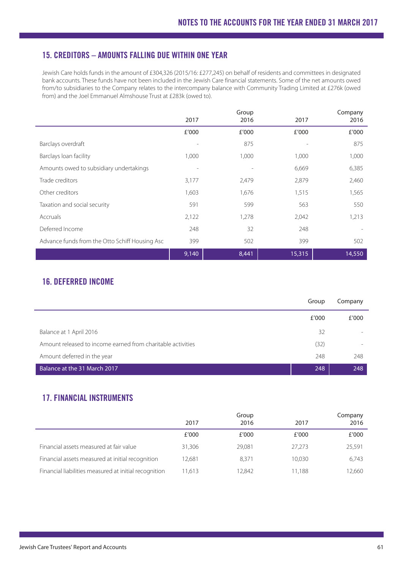## 15. CREDITORS – AMOUNTS FALLING DUE WITHIN ONE YEAR

Jewish Care holds funds in the amount of £304,326 (2015/16: £277,245) on behalf of residents and committees in designated bank accounts. These funds have not been included in the Jewish Care financial statements. Some of the net amounts owed from/to subsidiaries to the Company relates to the intercompany balance with Community Trading Limited at £276k (owed from) and the Joel Emmanuel Almshouse Trust at £283k (owed to).

|                                                |       | Group |        | Company |
|------------------------------------------------|-------|-------|--------|---------|
|                                                | 2017  | 2016  | 2017   | 2016    |
|                                                | £'000 | £'000 | £'000  | £'000   |
| Barclays overdraft                             | ٠     | 875   |        | 875     |
| Barclays loan facility                         | 1,000 | 1,000 | 1,000  | 1,000   |
| Amounts owed to subsidiary undertakings        | -     |       | 6,669  | 6,385   |
| Trade creditors                                | 3,177 | 2,479 | 2,879  | 2,460   |
| Other creditors                                | 1,603 | 1,676 | 1,515  | 1,565   |
| Taxation and social security                   | 591   | 599   | 563    | 550     |
| Accruals                                       | 2,122 | 1,278 | 2,042  | 1,213   |
| Deferred Income                                | 248   | 32    | 248    |         |
| Advance funds from the Otto Schiff Housing Asc | 399   | 502   | 399    | 502     |
|                                                | 9,140 | 8,441 | 15,315 | 14,550  |

## 16. DEFERRED INCOME

| Group | Company |
|-------|---------|
| £'000 | £'000   |
| 32    |         |
| (32)  |         |
| 248   | 248     |
| 248   | 248     |
|       |         |

## 17. FINANCIAL INSTRUMENTS

|                                                       |        | Group  |        | Company |
|-------------------------------------------------------|--------|--------|--------|---------|
|                                                       | 2017   | 2016   | 2017   | 2016    |
|                                                       | £'000  | £'000  | £'000  | £'000   |
| Financial assets measured at fair value               | 31,306 | 29.081 | 27,273 | 25,591  |
| Financial assets measured at initial recognition      | 12.681 | 8,371  | 10.030 | 6,743   |
| Financial liabilities measured at initial recognition | 11,613 | 12,842 | 11.188 | 12,660  |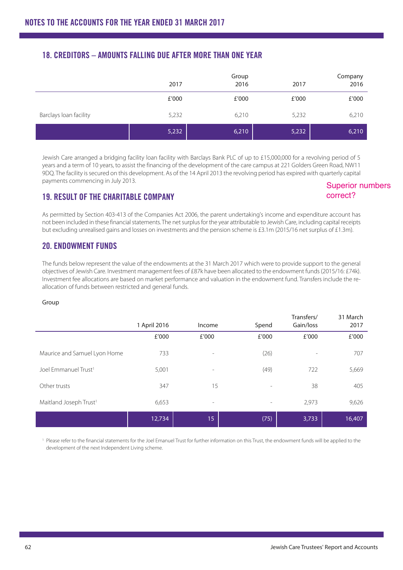## 18. CREDITORS – AMOUNTS FALLING DUE AFTER MORE THAN ONE YEAR

|                        | 2017  | Group<br>2016 | 2017  | Company<br>2016 |
|------------------------|-------|---------------|-------|-----------------|
|                        | £'000 | £'000         | £'000 | £'000           |
| Barclays loan facility | 5,232 | 6,210         | 5,232 | 6,210           |
|                        | 5,232 | 6,210         | 5,232 | 6,210           |

Jewish Care arranged a bridging facility loan facility with Barclays Bank PLC of up to £15,000,000 for a revolving period of 5 years and a term of 10 years, to assist the financing of the development of the care campus at 221 Golders Green Road, NW11 9DQ. The facility is secured on this development. As of the 14 April 2013 the revolving period has expired with quarterly capital payments commencing in July 2013.

## 19. RESULT OF THE CHARITABLE COMPANY

As permitted by Section 403-413 of the Companies Act 2006, the parent undertaking's income and expenditure account has not been included in these financial statements. The net surplus for the year attributable to Jewish Care, including capital receipts but excluding unrealised gains and losses on investments and the pension scheme is £3.1m (2015/16 net surplus of £1.3m).

## 20. ENDOWMENT FUNDS

The funds below represent the value of the endowments at the 31 March 2017 which were to provide support to the general objectives of Jewish Care. Investment management fees of £87k have been allocated to the endowment funds (2015/16: £74k). Investment fee allocations are based on market performance and valuation in the endowment fund. Transfers include the reallocation of funds between restricted and general funds.

### Group

|                                    | 1 April 2016 | Income | Spend  | Transfers/<br>Gain/loss | 31 March<br>2017 |
|------------------------------------|--------------|--------|--------|-------------------------|------------------|
|                                    | £'000        | £'000  | £'000  | £'000                   | £'000            |
| Maurice and Samuel Lyon Home       | 733          | ۰      | (26)   | ۰                       | 707              |
| Joel Emmanuel Trust <sup>1</sup>   | 5,001        | -      | (49)   | 722                     | 5,669            |
| Other trusts                       | 347          | 15     | ۰      | 38                      | 405              |
| Maitland Joseph Trust <sup>1</sup> | 6,653        | ۰      | $\sim$ | 2,973                   | 9,626            |
|                                    | 12,734       | 15     | (75)   | 3,733                   | 16,407           |

<sup>1</sup> Please refer to the financial statements for the Joel Emanuel Trust for further information on this Trust, the endowment funds will be applied to the development of the next Independent Living scheme.

### Superior numbers correct?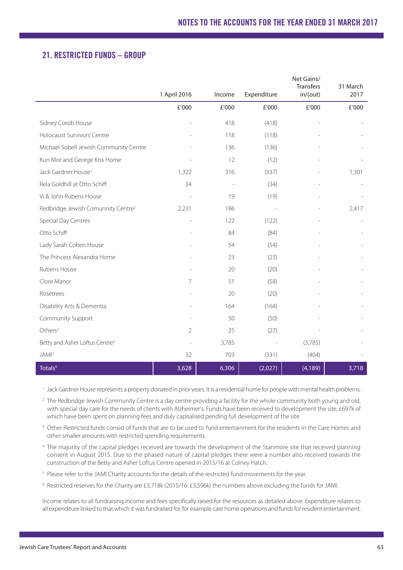## 21. RESTRICTED FUNDS – GROUP

|                                                | 1 April 2016 | Income | Expenditure | Net Gains/<br>Transfers<br>in/(out) | 31 March<br>2017 |
|------------------------------------------------|--------------|--------|-------------|-------------------------------------|------------------|
|                                                | $£'000$      | £'000  | £'000       | £'000                               | $\pounds'000$    |
| Sidney Corob House                             |              | 418    | (418)       |                                     |                  |
| Holocaust Survivors' Centre                    |              | 118    | (118)       |                                     |                  |
| Michael Sobell Jewish Community Centre         |              | 136    | (136)       |                                     |                  |
| Kun Mor and George Kiss Home                   |              | 12     | (12)        |                                     |                  |
| Jack Gardner House <sup>1</sup>                | 1,322        | 316    | (337)       |                                     | 1,301            |
| Rela Goldhill at Otto Schiff                   | 34           |        | (34)        |                                     |                  |
| Vi & John Rubens House                         |              | 19     | (19)        |                                     |                  |
| Redbridge Jewish Comunnity Centre <sup>2</sup> | 2,231        | 186    |             |                                     | 2,417            |
| Special Day Centres                            |              | 122    | (122)       |                                     |                  |
| Otto Schiff                                    |              | 84     | (84)        |                                     |                  |
| Lady Sarah Cohen House                         |              | 54     | (54)        |                                     |                  |
| The Princess Alexandra Home                    |              | 23     | (23)        |                                     |                  |
| Rubens House                                   |              | 20     | (20)        |                                     |                  |
| Clore Manor                                    | 7            | 51     | (58)        |                                     |                  |
| Rosetrees                                      |              | 20     | (20)        |                                     |                  |
| Disability Arts & Dementia                     |              | 164    | (164)       |                                     |                  |
| Community Support                              |              | 50     | (50)        |                                     |                  |
| Others <sup>3</sup>                            | 2            | 25     | (27)        |                                     |                  |
| Betty and Asher Loftus Centre <sup>4</sup>     |              | 3,785  |             | (3,785)                             |                  |
| JAMI <sup>5</sup>                              | 32           | 703    | (331)       | (404)                               |                  |
| Totals <sup>6</sup>                            | 3,628        | 6,306  | (2,027)     | (4, 189)                            | 3,718            |

<sup>1</sup> Jack Gardner House represents a property donated in prior years. It is a residential home for people with mental health problems.

<sup>2</sup> The Redbridge Jewish Community Centre is a day centre providing a facility for the whole community both young and old, with special day care for the needs of clients with Alzheimer's. Funds have been received to development the site, £697k of which have been spent on planning fees and duly capitalised pending full development of the site.

<sup>3</sup> Other Restricted funds consist of funds that are to be used to fund entertainment for the residents in the Care Homes and other smaller amounts with restricted spending requirements.

<sup>4</sup> The majority of the capital pledges received are towards the development of the Stanmore site that received planning consent in August 2015. Due to the phased nature of capital pledges there were a number also received towards the construction of the Betty and Asher Loftus Centre opened in 2015/16 at Colney Hatch.

- <sup>5</sup> Please refer to the JAMI Charity accounts for the details of the restricted fund movements for the year.
- <sup>6</sup> Restricted reserves for the Charity are £3,718k (2015/16: £3,596k) the numbers above excluding the funds for JAMI.

Income relates to all fundraising income and fees specifically raised for the resources as detailed above. Expenditure relates to all expenditure linked to that which it was fundraised for, for example care home operations and funds for resident entertainment.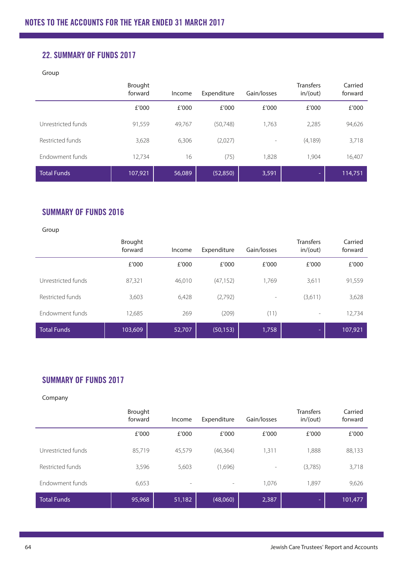# 22. SUMMARY OF FUNDS 2017

Group

|                    | Brought<br>forward | Income | Expenditure | Gain/losses              | <b>Transfers</b><br>$in/$ (out) | Carried<br>forward |
|--------------------|--------------------|--------|-------------|--------------------------|---------------------------------|--------------------|
|                    | £'000              | £'000  | £'000       | £'000                    | £'000                           | £'000              |
| Unrestricted funds | 91,559             | 49,767 | (50,748)    | 1,763                    | 2,285                           | 94,626             |
| Restricted funds   | 3,628              | 6,306  | (2,027)     | $\overline{\phantom{a}}$ | (4,189)                         | 3,718              |
| Endowment funds    | 12,734             | 16     | (75)        | 1,828                    | 1.904                           | 16,407             |
| <b>Total Funds</b> | 107,921            | 56,089 | (52, 850)   | 3,591                    | ۰.                              | 114,751            |

## SUMMARY OF FUNDS 2016

Group

|                    | Brought<br>forward | Income | Expenditure | Gain/losses | <b>Transfers</b><br>$in/$ (out) | Carried<br>forward |
|--------------------|--------------------|--------|-------------|-------------|---------------------------------|--------------------|
|                    | £'000              | £'000  | £'000       | £'000       | £'000                           | £'000              |
| Unrestricted funds | 87,321             | 46.010 | (47, 152)   | 1,769       | 3,611                           | 91,559             |
| Restricted funds   | 3,603              | 6,428  | (2,792)     | ٠           | (3,611)                         | 3,628              |
| Endowment funds    | 12,685             | 269    | (209)       | (11)        | $\overline{\phantom{a}}$        | 12,734             |
| <b>Total Funds</b> | 103,609            | 52,707 | (50, 153)   | 1,758       | ۰.                              | 107,921            |

# SUMMARY OF FUNDS 2017

Company

|                    | Brought<br>forward | Income | Expenditure              | Gain/losses | <b>Transfers</b><br>$in/$ (out) | Carried<br>forward |
|--------------------|--------------------|--------|--------------------------|-------------|---------------------------------|--------------------|
|                    | £'000              | £'000  | £'000                    | £'000       | £'000                           | £'000              |
| Unrestricted funds | 85,719             | 45,579 | (46, 364)                | 1.311       | 1.888                           | 88,133             |
| Restricted funds   | 3,596              | 5,603  | (1,696)                  | ٠           | (3,785)                         | 3,718              |
| Endowment funds    | 6,653              | $\sim$ | $\overline{\phantom{a}}$ | 1,076       | 1,897                           | 9,626              |
| <b>Total Funds</b> | 95,968             | 51,182 | (48,060)                 | 2,387       | ٠.                              | 101,477            |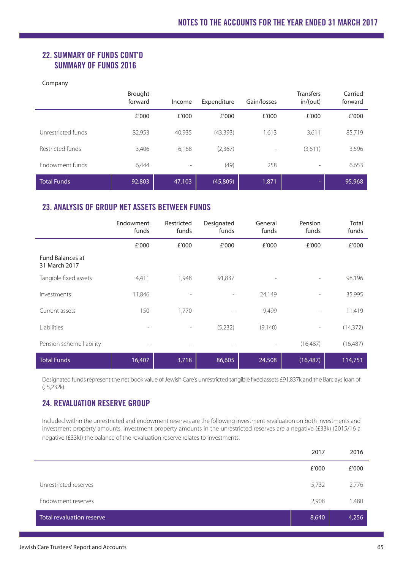## 22. SUMMARY OF FUNDS CONT'D SUMMARY OF FUNDS 2016

Company

|                    | Brought<br>forward | Income | Expenditure | Gain/losses | <b>Transfers</b><br>$in/$ (out) | Carried<br>forward |
|--------------------|--------------------|--------|-------------|-------------|---------------------------------|--------------------|
|                    | £'000              | £'000  | £'000       | £'000       | £'000                           | £'000              |
| Unrestricted funds | 82,953             | 40,935 | (43, 393)   | 1,613       | 3,611                           | 85,719             |
| Restricted funds   | 3,406              | 6,168  | (2,367)     | ۰           | (3,611)                         | 3,596              |
| Endowment funds    | 6,444              | $\sim$ | (49)        | 258         |                                 | 6,653              |
| <b>Total Funds</b> | 92,803             | 47,103 | (45,809)    | 1,871       | ۰                               | 95,968             |

# 23. ANALYSIS OF GROUP NET ASSETS BETWEEN FUNDS

|                                          | Endowment<br>funds       | Restricted<br>funds | Designated<br>funds      | General<br>funds | Pension<br>funds         | Total<br>funds |
|------------------------------------------|--------------------------|---------------------|--------------------------|------------------|--------------------------|----------------|
|                                          | £'000                    | £'000               | £'000                    | £'000            | £'000                    | £'000          |
| <b>Fund Balances at</b><br>31 March 2017 |                          |                     |                          |                  |                          |                |
| Tangible fixed assets                    | 4,411                    | 1,948               | 91,837                   |                  | ٠                        | 98,196         |
| Investments                              | 11,846                   |                     | $\overline{\phantom{a}}$ | 24,149           | -                        | 35,995         |
| Current assets                           | 150                      | 1,770               |                          | 9,499            | $\overline{\phantom{0}}$ | 11,419         |
| Liabilities                              |                          |                     | (5,232)                  | (9,140)          | -                        | (14, 372)      |
| Pension scheme liability                 | $\overline{\phantom{a}}$ |                     |                          |                  | (16,487)                 | (16,487)       |
| <b>Total Funds</b>                       | 16,407                   | 3,718               | 86,605                   | 24,508           | (16, 487)                | 114,751        |

Designated funds represent the net book value of Jewish Care's unrestricted tangible fixed assets £91,837k and the Barclays loan of (£5,232k).

# 24. REVALUATION RESERVE GROUP

Included within the unrestricted and endowment reserves are the following investment revaluation on both investments and investment property amounts, investment property amounts in the unrestricted reserves are a negative (£33k) (2015/16 a negative (£33k)) the balance of the revaluation reserve relates to investments.

|                           | 2017  | 2016  |
|---------------------------|-------|-------|
|                           | £'000 | £'000 |
| Unrestricted reserves     | 5,732 | 2,776 |
| Endowment reserves        | 2,908 | 1,480 |
| Total revaluation reserve | 8,640 | 4,256 |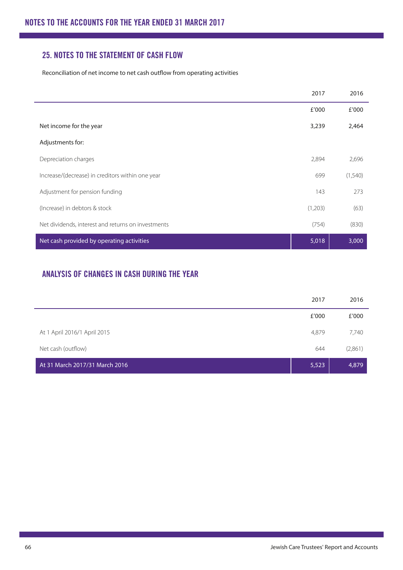# 25. NOTES TO THE STATEMENT OF CASH FLOW

Reconciliation of net income to net cash outflow from operating activities

|                                                    | 2017    | 2016    |
|----------------------------------------------------|---------|---------|
|                                                    | £'000   | £'000   |
| Net income for the year                            | 3,239   | 2,464   |
| Adjustments for:                                   |         |         |
| Depreciation charges                               | 2,894   | 2,696   |
| Increase/(decrease) in creditors within one year   | 699     | (1,540) |
| Adjustment for pension funding                     | 143     | 273     |
| (Increase) in debtors & stock                      | (1,203) | (63)    |
| Net dividends, interest and returns on investments | (754)   | (830)   |
| Net cash provided by operating activities          | 5,018   | 3,000   |

# ANALYSIS OF CHANGES IN CASH DURING THE YEAR

|                                | 2017  | 2016    |
|--------------------------------|-------|---------|
|                                | £'000 | £'000   |
| At 1 April 2016/1 April 2015   | 4,879 | 7,740   |
| Net cash (outflow)             | 644   | (2,861) |
| At 31 March 2017/31 March 2016 | 5,523 | 4,879   |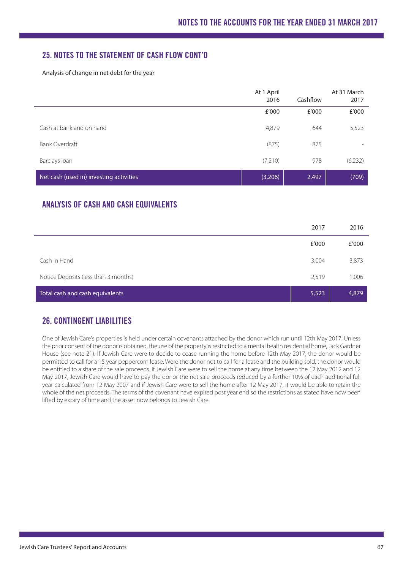## 25. NOTES TO THE STATEMENT OF CASH FLOW CONT'D

Analysis of change in net debt for the year

|                                         | At 1 April<br>2016 | Cashflow | At 31 March<br>2017 |
|-----------------------------------------|--------------------|----------|---------------------|
|                                         | £'000              | £'000    | £'000               |
| Cash at bank and on hand                | 4,879              | 644      | 5,523               |
| <b>Bank Overdraft</b>                   | (875)              | 875      |                     |
| Barclays Ioan                           | (7,210)            | 978      | (6,232)             |
| Net cash (used in) investing activities | (3,206)            | 2,497    | (709)               |

## ANALYSIS OF CASH AND CASH EQUIVALENTS

|                                      | 2017  | 2016  |
|--------------------------------------|-------|-------|
|                                      | £'000 | £'000 |
| Cash in Hand                         | 3,004 | 3,873 |
| Notice Deposits (less than 3 months) | 2,519 | 1,006 |
| Total cash and cash equivalents      | 5,523 | 4,879 |

### 26. CONTINGENT LIABILITIES

One of Jewish Care's properties is held under certain covenants attached by the donor which run until 12th May 2017. Unless the prior consent of the donor is obtained, the use of the property is restricted to a mental health residential home, Jack Gardner House (see note 21). If Jewish Care were to decide to cease running the home before 12th May 2017, the donor would be permitted to call for a 15 year peppercorn lease. Were the donor not to call for a lease and the building sold, the donor would be entitled to a share of the sale proceeds. If Jewish Care were to sell the home at any time between the 12 May 2012 and 12 May 2017, Jewish Care would have to pay the donor the net sale proceeds reduced by a further 10% of each additional full year calculated from 12 May 2007 and if Jewish Care were to sell the home after 12 May 2017, it would be able to retain the whole of the net proceeds. The terms of the covenant have expired post year end so the restrictions as stated have now been lifted by expiry of time and the asset now belongs to Jewish Care.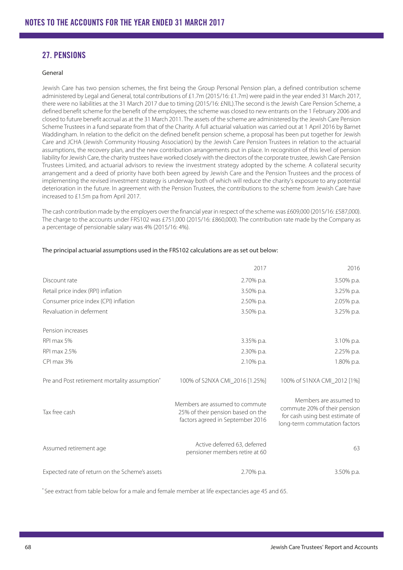## 27. PENSIONS

### General

Jewish Care has two pension schemes, the first being the Group Personal Pension plan, a defined contribution scheme administered by Legal and General, total contributions of £1.7m (2015/16: £1.7m) were paid in the year ended 31 March 2017, there were no liabilities at the 31 March 2017 due to timing (2015/16: £NIL).The second is the Jewish Care Pension Scheme, a defined benefit scheme for the benefit of the employees; the scheme was closed to new entrants on the 1 February 2006 and closed to future benefit accrual as at the 31 March 2011. The assets of the scheme are administered by the Jewish Care Pension Scheme Trustees in a fund separate from that of the Charity. A full actuarial valuation was carried out at 1 April 2016 by Barnet Waddingham. In relation to the deficit on the defined benefit pension scheme, a proposal has been put together for Jewish Care and JCHA (Jewish Community Housing Association) by the Jewish Care Pension Trustees in relation to the actuarial assumptions, the recovery plan, and the new contribution arrangements put in place. In recognition of this level of pension liability for Jewish Care, the charity trustees have worked closely with the directors of the corporate trustee, Jewish Care Pension Trustees Limited, and actuarial advisors to review the investment strategy adopted by the scheme. A collateral security arrangement and a deed of priority have both been agreed by Jewish Care and the Pension Trustees and the process of implementing the revised investment strategy is underway both of which will reduce the charity's exposure to any potential deterioration in the future. In agreement with the Pension Trustees, the contributions to the scheme from Jewish Care have increased to £1.5m pa from April 2017.

The cash contribution made by the employers over the financial year in respect of the scheme was £609,000 (2015/16: £587,000). The charge to the accounts under FRS102 was £751,000 (2015/16: £860,000). The contribution rate made by the Company as a percentage of pensionable salary was 4% (2015/16: 4%).

### The principal actuarial assumptions used in the FRS102 calculations are as set out below:

|                                                | 2017                                                                                                    | 2016                                                                                                                       |
|------------------------------------------------|---------------------------------------------------------------------------------------------------------|----------------------------------------------------------------------------------------------------------------------------|
| Discount rate                                  | 2.70% p.a.                                                                                              | 3.50% p.a.                                                                                                                 |
| Retail price index (RPI) inflation             | 3.50% p.a.                                                                                              | 3.25% p.a.                                                                                                                 |
| Consumer price index (CPI) inflation           | 2.50% p.a.                                                                                              | 2.05% p.a.                                                                                                                 |
| Revaluation in deferment                       | 3.50% p.a.                                                                                              | 3.25% p.a.                                                                                                                 |
| Pension increases                              |                                                                                                         |                                                                                                                            |
| RPI max 5%                                     | 3.35% p.a.                                                                                              | 3.10% p.a.                                                                                                                 |
| RPI max 2.5%                                   | 2.30% p.a.                                                                                              | 2.25% p.a.                                                                                                                 |
| CPI max 3%                                     | 2.10% p.a.                                                                                              | 1.80% p.a.                                                                                                                 |
| Pre and Post retirement mortality assumption*  | 100% of S2NXA CMI_2016 [1.25%]                                                                          | 100% of S1NXA CMI_2012 [1%]                                                                                                |
| Tax free cash                                  | Members are assumed to commute<br>25% of their pension based on the<br>factors agreed in September 2016 | Members are assumed to<br>commute 20% of their pension<br>for cash using best estimate of<br>long-term commutation factors |
| Assumed retirement age                         | Active deferred 63, deferred<br>pensioner members retire at 60                                          | 63                                                                                                                         |
| Expected rate of return on the Scheme's assets | 2.70% p.a.                                                                                              | 3.50% p.a.                                                                                                                 |

\* See extract from table below for a male and female member at life expectancies age 45 and 65.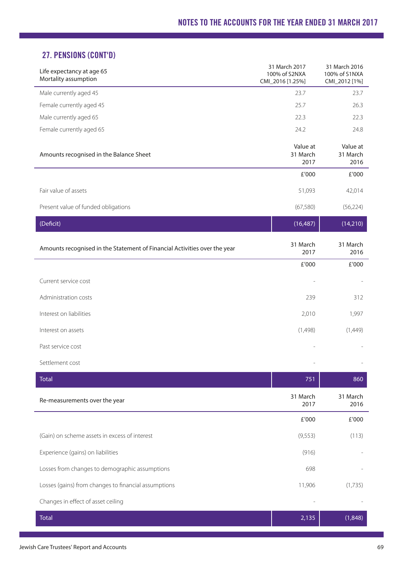# 27. PENSIONS (CONT'D)

| Life expectancy at age 65<br>Mortality assumption                         | 31 March 2017<br>100% of S2NXA<br>CMI_2016 [1.25%] | 31 March 2016<br>100% of S1NXA<br>CMI_2012 [1%] |
|---------------------------------------------------------------------------|----------------------------------------------------|-------------------------------------------------|
| Male currently aged 45                                                    | 23.7                                               | 23.7                                            |
| Female currently aged 45                                                  | 25.7                                               | 26.3                                            |
| Male currently aged 65                                                    | 22.3                                               | 22.3                                            |
| Female currently aged 65                                                  | 24.2                                               | 24.8                                            |
| Amounts recognised in the Balance Sheet                                   | Value at<br>31 March<br>2017                       | Value at<br>31 March<br>2016                    |
|                                                                           | £'000                                              | £'000                                           |
| Fair value of assets                                                      | 51,093                                             | 42,014                                          |
| Present value of funded obligations                                       | (67, 580)                                          | (56, 224)                                       |
| (Deficit)                                                                 | (16, 487)                                          | (14,210)                                        |
| Amounts recognised in the Statement of Financial Activities over the year | 31 March<br>2017                                   | 31 March<br>2016                                |
|                                                                           | £'000                                              | £'000                                           |
| Current service cost                                                      |                                                    |                                                 |
| Administration costs                                                      | 239                                                | 312                                             |
| Interest on liabilities                                                   | 2,010                                              | 1,997                                           |
| Interest on assets                                                        | (1,498)                                            | (1,449)                                         |
| Past service cost                                                         |                                                    |                                                 |
| Settlement cost                                                           |                                                    |                                                 |
| <b>Total</b>                                                              | 751                                                | 860                                             |
| Re-measurements over the year                                             | 31 March<br>2017                                   | 31 March<br>2016                                |
|                                                                           | £'000                                              | £'000                                           |
| (Gain) on scheme assets in excess of interest                             | (9, 553)                                           | (113)                                           |
| Experience (gains) on liabilities                                         | (916)                                              |                                                 |
| Losses from changes to demographic assumptions                            | 698                                                |                                                 |
| Losses (gains) from changes to financial assumptions                      | 11,906                                             | (1,735)                                         |
| Changes in effect of asset ceiling                                        |                                                    |                                                 |
| <b>Total</b>                                                              | 2,135                                              | (1,848)                                         |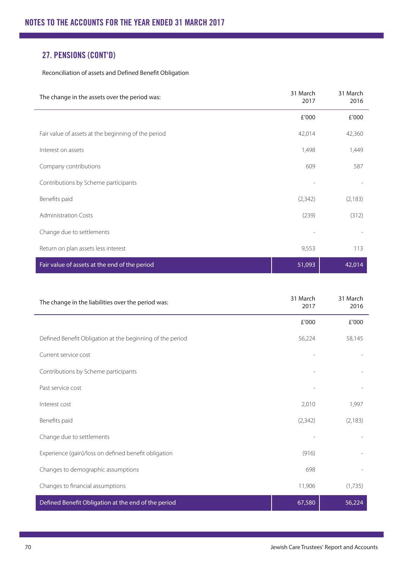# 27. PENSIONS (CONT'D)

Reconciliation of assets and Defined Benefit Obligation

| The change in the assets over the period was:       | 31 March<br>2017 | 31 March<br>2016 |
|-----------------------------------------------------|------------------|------------------|
|                                                     | £'000            | £'000            |
| Fair value of assets at the beginning of the period | 42,014           | 42,360           |
| Interest on assets                                  | 1,498            | 1,449            |
| Company contributions                               | 609              | 587              |
| Contributions by Scheme participants                |                  |                  |
| Benefits paid                                       | (2,342)          | (2, 183)         |
| <b>Administration Costs</b>                         | (239)            | (312)            |
| Change due to settlements                           |                  |                  |
| Return on plan assets less interest                 | 9,553            | 113              |
| Fair value of assets at the end of the period       | 51,093           | 42,014           |

| The change in the liabilities over the period was:        | 31 March<br>2017 | 31 March<br>2016 |
|-----------------------------------------------------------|------------------|------------------|
|                                                           | £'000            | £'000            |
| Defined Benefit Obligation at the beginning of the period | 56,224           | 58,145           |
| Current service cost                                      |                  |                  |
| Contributions by Scheme participants                      |                  |                  |
| Past service cost                                         |                  |                  |
| Interest cost                                             | 2,010            | 1,997            |
| Benefits paid                                             | (2, 342)         | (2,183)          |
| Change due to settlements                                 |                  |                  |
| Experience (gain)/loss on defined benefit obligation      | (916)            |                  |
| Changes to demographic assumptions                        | 698              |                  |
| Changes to financial assumptions                          | 11,906           | (1,735)          |
| Defined Benefit Obligation at the end of the period       | 67,580           | 56,224           |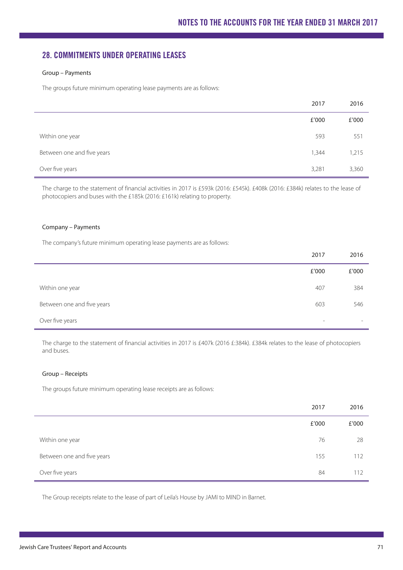## 28. COMMITMENTS UNDER OPERATING LEASES

### Group – Payments

The groups future minimum operating lease payments are as follows:

|                            | 2017  | 2016  |
|----------------------------|-------|-------|
|                            | £'000 | £'000 |
| Within one year            | 593   | 551   |
| Between one and five years | 1,344 | 1,215 |
| Over five years            | 3,281 | 3,360 |

The charge to the statement of financial activities in 2017 is £593k (2016: £545k). £408k (2016: £384k) relates to the lease of photocopiers and buses with the £185k (2016: £161k) relating to property.

### Company – Payments

The company's future minimum operating lease payments are as follows:

|                            | 2017                     | 2016                     |
|----------------------------|--------------------------|--------------------------|
|                            | £'000                    | £'000                    |
| Within one year            | 407                      | 384                      |
| Between one and five years | 603                      | 546                      |
| Over five years            | $\overline{\phantom{a}}$ | $\overline{\phantom{a}}$ |

The charge to the statement of financial activities in 2017 is £407k (2016 £:384k). £384k relates to the lease of photocopiers and buses.

### Group – Receipts

The groups future minimum operating lease receipts are as follows:

|                            | 2017  | 2016  |
|----------------------------|-------|-------|
|                            | £'000 | £'000 |
| Within one year            | 76    | 28    |
| Between one and five years | 155   | 112   |
| Over five years            | 84    | 112   |

The Group receipts relate to the lease of part of Leila's House by JAMI to MIND in Barnet.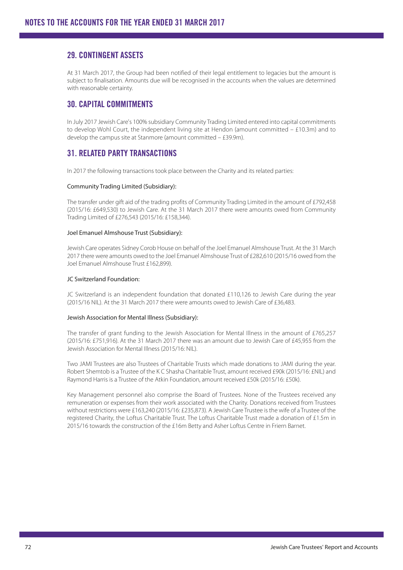### 29. CONTINGENT ASSETS

At 31 March 2017, the Group had been notified of their legal entitlement to legacies but the amount is subject to finalisation. Amounts due will be recognised in the accounts when the values are determined with reasonable certainty.

### 30. CAPITAL COMMITMENTS

In July 2017 Jewish Care's 100% subsidiary Community Trading Limited entered into capital commitments to develop Wohl Court, the independent living site at Hendon (amount committed – £10.3m) and to develop the campus site at Stanmore (amount committed – £39.9m).

### 31. RELATED PARTY TRANSACTIONS

In 2017 the following transactions took place between the Charity and its related parties:

### Community Trading Limited (Subsidiary):

The transfer under gift aid of the trading profits of Community Trading Limited in the amount of £792,458 (2015/16: £649,530) to Jewish Care. At the 31 March 2017 there were amounts owed from Community Trading Limited of £276,543 (2015/16: £158,344).

### Joel Emanuel Almshouse Trust (Subsidiary):

Jewish Care operates Sidney Corob House on behalf of the Joel Emanuel Almshouse Trust. At the 31 March 2017 there were amounts owed to the Joel Emanuel Almshouse Trust of £282,610 (2015/16 owed from the Joel Emanuel Almshouse Trust £162,899).

### JC Switzerland Foundation:

JC Switzerland is an independent foundation that donated £110,126 to Jewish Care during the year (2015/16 NIL). At the 31 March 2017 there were amounts owed to Jewish Care of £36,483.

### Jewish Association for Mental Illness (Subsidiary):

The transfer of grant funding to the Jewish Association for Mental Illness in the amount of £765,257 (2015/16: £751,916). At the 31 March 2017 there was an amount due to Jewish Care of £45,955 from the Jewish Association for Mental Illness (2015/16: NIL).

Two JAMI Trustees are also Trustees of Charitable Trusts which made donations to JAMI during the year. Robert Shemtob is a Trustee of the K C Shasha Charitable Trust, amount received £90k (2015/16: £NIL) and Raymond Harris is a Trustee of the Atkin Foundation, amount received £50k (2015/16: £50k).

Key Management personnel also comprise the Board of Trustees. None of the Trustees received any remuneration or expenses from their work associated with the Charity. Donations received from Trustees without restrictions were £163,240 (2015/16: £235,873). A Jewish Care Trustee is the wife of a Trustee of the registered Charity, the Loftus Charitable Trust. The Loftus Charitable Trust made a donation of £1.5m in 2015/16 towards the construction of the £16m Betty and Asher Loftus Centre in Friern Barnet.